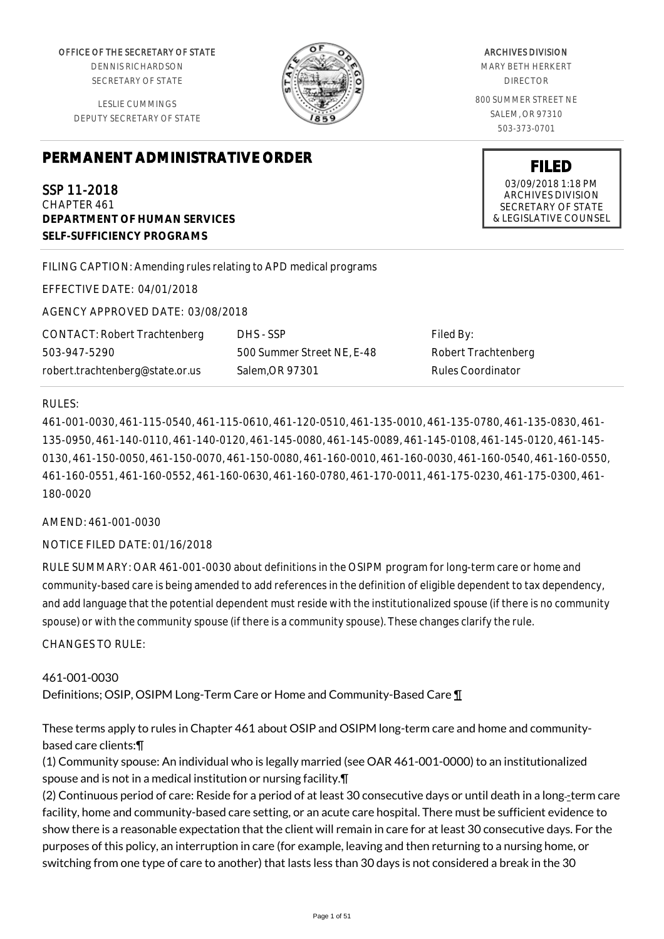OFFICE OF THE SECRETARY OF STATE

DENNIS RICHARDSON SECRETARY OF STATE

LESLIE CUMMINGS DEPUTY SECRETARY OF STATE

# **PERMANENT ADMINISTRATIVE ORDER**

SSP 11-2018 CHAPTER 461 **DEPARTMENT OF HUMAN SERVICES SELF-SUFFICIENCY PROGRAMS**

FILING CAPTION: Amending rules relating to APD medical programs

EFFECTIVE DATE: 04/01/2018

AGENCY APPROVED DATE: 03/08/2018

CONTACT: Robert Trachtenberg 503-947-5290 robert.trachtenberg@state.or.us

DHS - SSP 500 Summer Street NE, E-48 Salem,OR 97301

Filed By: Robert Trachtenberg Rules Coordinator

#### RULES:

461-001-0030, 461-115-0540, 461-115-0610, 461-120-0510, 461-135-0010, 461-135-0780, 461-135-0830, 461- 135-0950, 461-140-0110, 461-140-0120, 461-145-0080, 461-145-0089, 461-145-0108, 461-145-0120, 461-145- 0130, 461-150-0050, 461-150-0070, 461-150-0080, 461-160-0010, 461-160-0030, 461-160-0540, 461-160-0550, 461-160-0551, 461-160-0552, 461-160-0630, 461-160-0780, 461-170-0011, 461-175-0230, 461-175-0300, 461- 180-0020

#### AMEND: 461-001-0030

#### NOTICE FILED DATE: 01/16/2018

RULE SUMMARY: OAR 461-001-0030 about definitions in the OSIPM program for long-term care or home and community-based care is being amended to add references in the definition of eligible dependent to tax dependency, and add language that the potential dependent must reside with the institutionalized spouse (if there is no community spouse) or with the community spouse (if there is a community spouse). These changes clarify the rule.

CHANGES TO RULE:

### 461-001-0030 Definitions; OSIP, OSIPM Long-Term Care or Home and Community-Based Care ¶

These terms apply to rules in Chapter 461 about OSIP and OSIPM long-term care and home and communitybased care clients:¶

(1) Community spouse: An individual who is legally married (see OAR 461-001-0000) to an institutionalized spouse and is not in a medical institution or nursing facility.¶

(2) Continuous period of care: Reside for a period of at least 30 consecutive days or until death in a long-term care facility, home and community-based care setting, or an acute care hospital. There must be sufficient evidence to show there is a reasonable expectation that the client will remain in care for at least 30 consecutive days. For the purposes of this policy, an interruption in care (for example, leaving and then returning to a nursing home, or switching from one type of care to another) that lasts less than 30 days is not considered a break in the 30

#### ARCHIVES DIVISION

MARY BETH HERKERT DIRECTOR

800 SUMMER STREET NE SALEM, OR 97310 503-373-0701

> **FILED** 03/09/2018 1:18 PM ARCHIVES DIVISION SECRETARY OF STATE & LEGISLATIVE COUNSEL

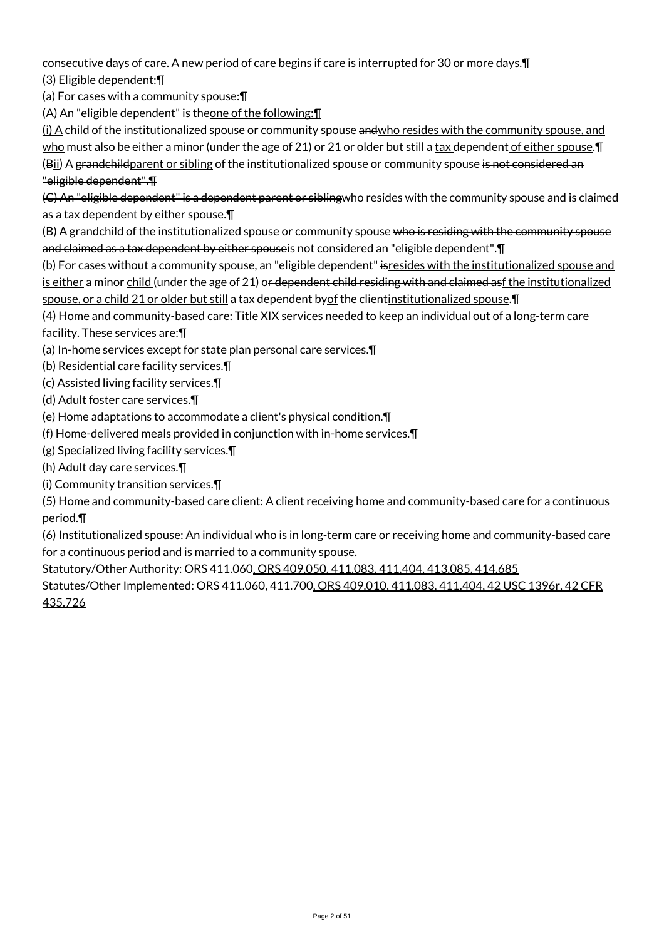consecutive days of care. A new period of care begins if care is interrupted for 30 or more days.¶ (3) Eligible dependent:¶

(a) For cases with a community spouse:¶

(A) An "eligible dependent" is theone of the following: 1

(i) A child of the institutionalized spouse or community spouse andwho resides with the community spouse, and who must also be either a minor (under the age of 21) or 21 or older but still a tax dependent of either spouse. T (Bii) A grandchildparent or sibling of the institutionalized spouse or community spouse is not considered an

### "eligible dependent".¶

(C) An "eligible dependent" is a dependent parent or siblingwho resides with the community spouse and is claimed as a tax dependent by either spouse.¶

(B) A grandchild of the institutionalized spouse or community spouse who is residing with the community spouse and claimed as a tax dependent by either spouseis not considered an "eligible dependent".¶

(b) For cases without a community spouse, an "eligible dependent" is resides with the institutionalized spouse and is either a minor child (under the age of 21) or dependent child residing with and claimed asf the institutionalized spouse, or a child 21 or older but still a tax dependent by of the elientinstitutionalized spouse. T

(4) Home and community-based care: Title XIX services needed to keep an individual out of a long-term care facility. These services are:¶

(a) In-home services except for state plan personal care services.¶

(b) Residential care facility services.¶

(c) Assisted living facility services.¶

(d) Adult foster care services.¶

(e) Home adaptations to accommodate a client's physical condition.¶

(f) Home-delivered meals provided in conjunction with in-home services.¶

(g) Specialized living facility services.¶

(h) Adult day care services.¶

(i) Community transition services.¶

(5) Home and community-based care client: A client receiving home and community-based care for a continuous period.¶

(6) Institutionalized spouse: An individual who is in long-term care or receiving home and community-based care for a continuous period and is married to a community spouse.

Statutory/Other Authority: ORS 411.060, ORS 409.050, 411.083, 411.404, 413.085, 414.685

Statutes/Other Implemented: ORS 411.060, 411.700, ORS 409.010, 411.083, 411.404, 42 USC 1396r, 42 CFR 435.726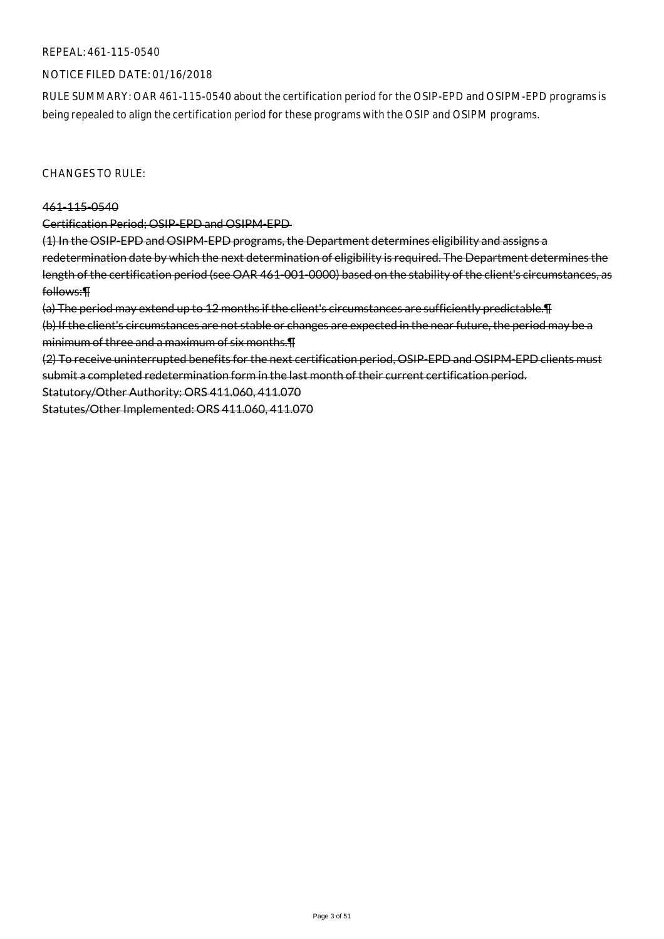#### REPEAL: 461-115-0540

#### NOTICE FILED DATE: 01/16/2018

RULE SUMMARY: OAR 461-115-0540 about the certification period for the OSIP-EPD and OSIPM-EPD programs is being repealed to align the certification period for these programs with the OSIP and OSIPM programs.

CHANGES TO RULE:

#### 461-115-0540

Certification Period; OSIP-EPD and OSIPM-EPD

(1) In the OSIP-EPD and OSIPM-EPD programs, the Department determines eligibility and assigns a redetermination date by which the next determination of eligibility is required. The Department determines the length of the certification period (see OAR 461-001-0000) based on the stability of the client's circumstances, as follows:¶

(a) The period may extend up to 12 months if the client's circumstances are sufficiently predictable.¶

(b) If the client's circumstances are not stable or changes are expected in the near future, the period may be a minimum of three and a maximum of six months.¶

(2) To receive uninterrupted benefits for the next certification period, OSIP-EPD and OSIPM-EPD clients must submit a completed redetermination form in the last month of their current certification period.

Statutory/Other Authority: ORS 411.060, 411.070

Statutes/Other Implemented: ORS 411.060, 411.070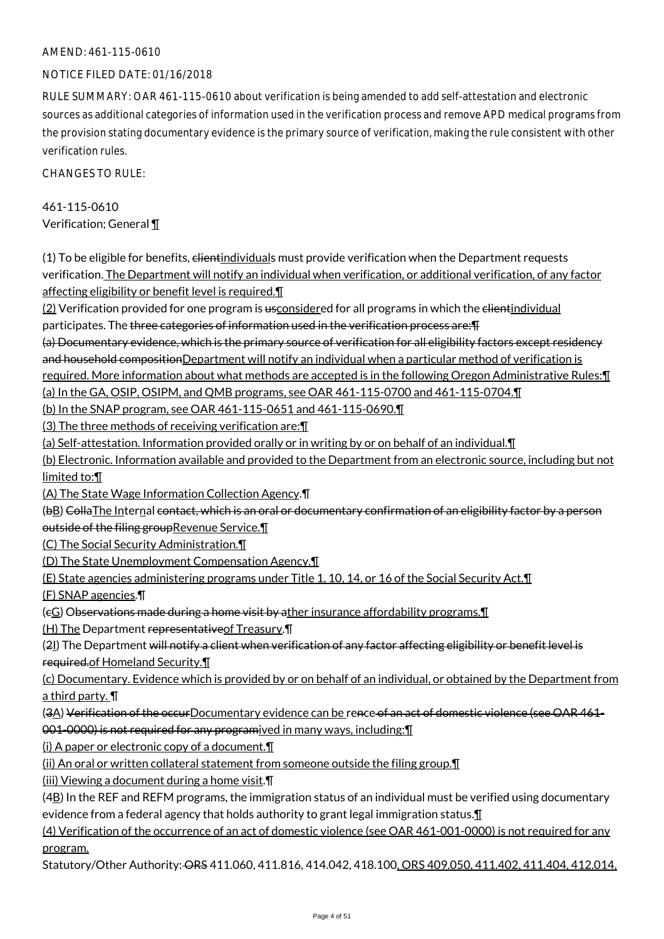#### NOTICE FILED DATE: 01/16/2018

RULE SUMMARY: OAR 461-115-0610 about verification is being amended to add self-attestation and electronic sources as additional categories of information used in the verification process and remove APD medical programs from the provision stating documentary evidence is the primary source of verification, making the rule consistent with other verification rules.

CHANGES TO RULE:

### 461-115-0610 Verification; General ¶

(1) To be eligible for benefits, elientindividuals must provide verification when the Department requests verification. The Department will notify an individual when verification, or additional verification, of any factor affecting eligibility or benefit level is required.¶

(2) Verification provided for one program is usconsidered for all programs in which the elientindividual participates. The three categories of information used in the verification process are:¶

(a) Documentary evidence, which is the primary source of verification for all eligibility factors except residency and household compositionDepartment will notify an individual when a particular method of verification is required. More information about what methods are accepted is in the following Oregon Administrative Rules:¶

(a) In the GA, OSIP, OSIPM, and QMB programs, see OAR 461-115-0700 and 461-115-0704.¶

(b) In the SNAP program, see OAR 461-115-0651 and 461-115-0690.¶

(3) The three methods of receiving verification are:¶

(a) Self-attestation. Information provided orally or in writing by or on behalf of an individual.¶

(b) Electronic. Information available and provided to the Department from an electronic source, including but not limited to:¶

(A) The State Wage Information Collection Agency.¶

(bB) Colla The Internal contact, which is an oral or documentary confirmation of an eligibility factor by a person outside of the filing groupRevenue Service.

(C) The Social Security Administration.¶

(D) The State Unemployment Compensation Agency.¶

(E) State agencies administering programs under Title 1, 10, 14, or 16 of the Social Security Act.¶

(F) SNAP agencies.¶

(eG) Observations made during a home visit by ather insurance affordability programs. I

(H) The Department representativeof Treasury.¶

(21) The Department will notify a client when verification of any factor affecting eligibility or benefit level is required.of Homeland Security.¶

(c) Documentary. Evidence which is provided by or on behalf of an individual, or obtained by the Department from a third party. ¶

(3A) Verification of the occurDocumentary evidence can be rence of an act of domestic violence (see OAR 461-001-0000) is not required for any programived in many ways, including: **[11]** 

(i) A paper or electronic copy of a document.¶

(ii) An oral or written collateral statement from someone outside the filing group.¶

(iii) Viewing a document during a home visit.¶

 $(4B)$  In the REF and REFM programs, the immigration status of an individual must be verified using documentary evidence from a federal agency that holds authority to grant legal immigration status. $\mathbf \mathbf I$ 

(4) Verification of the occurrence of an act of domestic violence (see OAR 461-001-0000) is not required for any program.

Statutory/Other Authority: ORS 411.060, 411.816, 414.042, 418.100, ORS 409.050, 411.402, 411.404, 412.014,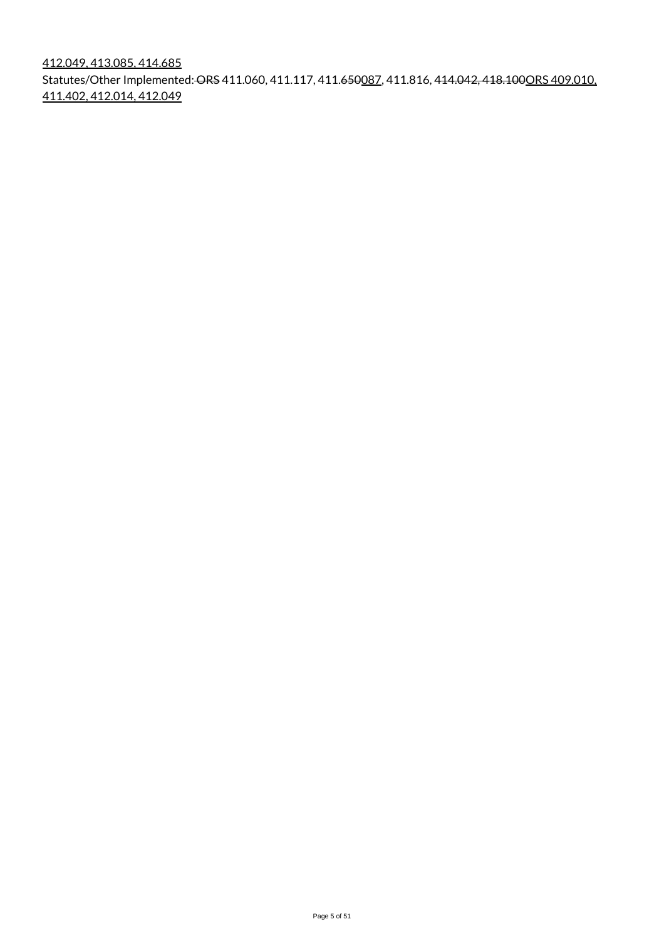412.049, 413.085, 414.685 Statutes/Other Implemented: ORS 411.060, 411.117, 411.650087, 411.816, 414.042, 418.100ORS 409.010, 411.402, 412.014, 412.049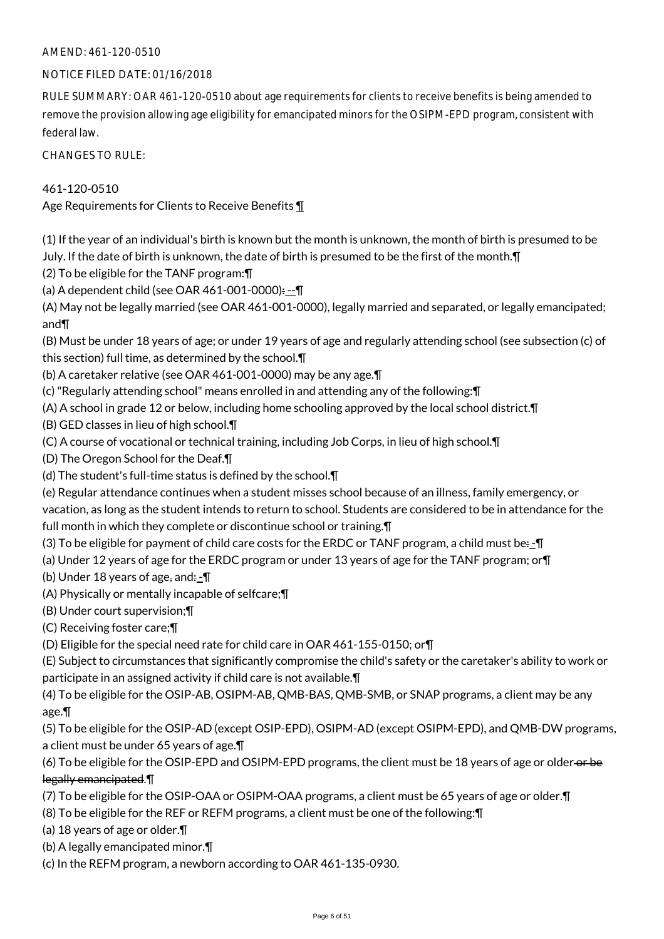#### NOTICE FILED DATE: 01/16/2018

RULE SUMMARY: OAR 461-120-0510 about age requirements for clients to receive benefits is being amended to remove the provision allowing age eligibility for emancipated minors for the OSIPM-EPD program, consistent with federal law.

CHANGES TO RULE:

461-120-0510

Age Requirements for Clients to Receive Benefits ¶

(1) If the year of an individual's birth is known but the month is unknown, the month of birth is presumed to be July. If the date of birth is unknown, the date of birth is presumed to be the first of the month.¶

(2) To be eligible for the TANF program:¶

(a) A dependent child (see OAR 461-001-0000): --¶

(A) May not be legally married (see OAR 461-001-0000), legally married and separated, or legally emancipated; and¶

(B) Must be under 18 years of age; or under 19 years of age and regularly attending school (see subsection (c) of this section) full time, as determined by the school.¶

(b) A caretaker relative (see OAR 461-001-0000) may be any age.¶

(c) "Regularly attending school" means enrolled in and attending any of the following:¶

(A) A school in grade 12 or below, including home schooling approved by the local school district.¶

(B) GED classes in lieu of high school.¶

(C) A course of vocational or technical training, including Job Corps, in lieu of high school.¶

(D) The Oregon School for the Deaf.¶

(d) The student's full-time status is defined by the school.¶

(e) Regular attendance continues when a student misses school because of an illness, family emergency, or

vacation, as long as the student intends to return to school. Students are considered to be in attendance for the full month in which they complete or discontinue school or training.¶

(3) To be eligible for payment of child care costs for the ERDC or TANF program, a child must be: - $\P$ 

(a) Under 12 years of age for the ERDC program or under 13 years of age for the TANF program; or¶

(b) Under 18 years of age, and: $-\P$ 

(A) Physically or mentally incapable of selfcare;¶

(B) Under court supervision;¶

(C) Receiving foster care;¶

(D) Eligible for the special need rate for child care in OAR 461-155-0150; or¶

(E) Subject to circumstances that significantly compromise the child's safety or the caretaker's ability to work or participate in an assigned activity if child care is not available.¶

(4) To be eligible for the OSIP-AB, OSIPM-AB, QMB-BAS, QMB-SMB, or SNAP programs, a client may be any age.¶

(5) To be eligible for the OSIP-AD (except OSIP-EPD), OSIPM-AD (except OSIPM-EPD), and QMB-DW programs, a client must be under 65 years of age.¶

(6) To be eligible for the OSIP-EPD and OSIPM-EPD programs, the client must be 18 years of age or older-or-be legally emancipated.¶

(7) To be eligible for the OSIP-OAA or OSIPM-OAA programs, a client must be 65 years of age or older.¶

(8) To be eligible for the REF or REFM programs, a client must be one of the following:¶

(a) 18 years of age or older.¶

(b) A legally emancipated minor.¶

(c) In the REFM program, a newborn according to OAR 461-135-0930.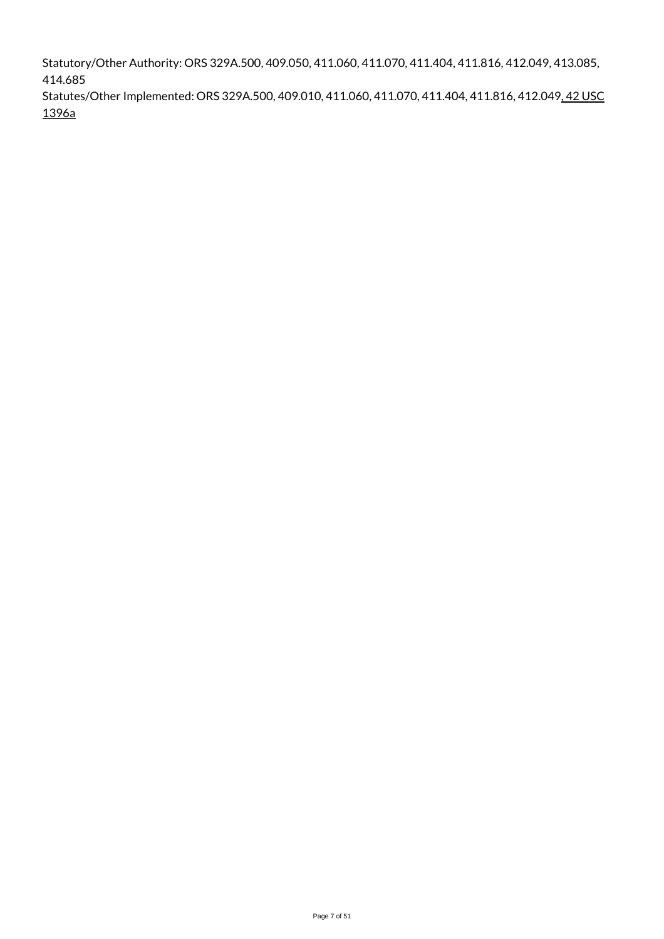Statutory/Other Authority: ORS 329A.500, 409.050, 411.060, 411.070, 411.404, 411.816, 412.049, 413.085, 414.685

Statutes/Other Implemented: ORS 329A.500, 409.010, 411.060, 411.070, 411.404, 411.816, 412.049, 42 USC 1396a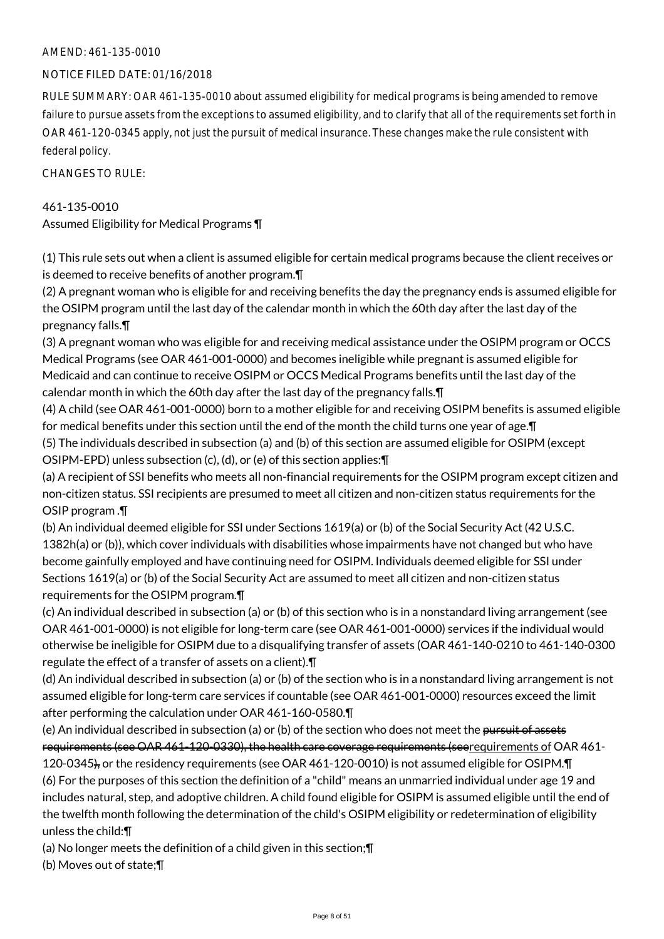#### NOTICE FILED DATE: 01/16/2018

RULE SUMMARY: OAR 461-135-0010 about assumed eligibility for medical programs is being amended to remove failure to pursue assets from the exceptions to assumed eligibility, and to clarify that all of the requirements set forth in OAR 461-120-0345 apply, not just the pursuit of medical insurance. These changes make the rule consistent with federal policy.

CHANGES TO RULE:

#### 461-135-0010

Assumed Eligibility for Medical Programs ¶

(1) This rule sets out when a client is assumed eligible for certain medical programs because the client receives or is deemed to receive benefits of another program.¶

(2) A pregnant woman who is eligible for and receiving benefits the day the pregnancy ends is assumed eligible for the OSIPM program until the last day of the calendar month in which the 60th day after the last day of the pregnancy falls.¶

(3) A pregnant woman who was eligible for and receiving medical assistance under the OSIPM program or OCCS Medical Programs (see OAR 461-001-0000) and becomes ineligible while pregnant is assumed eligible for Medicaid and can continue to receive OSIPM or OCCS Medical Programs benefits until the last day of the calendar month in which the 60th day after the last day of the pregnancy falls.¶

(4) A child (see OAR 461-001-0000) born to a mother eligible for and receiving OSIPM benefits is assumed eligible for medical benefits under this section until the end of the month the child turns one year of age.¶

(5) The individuals described in subsection (a) and (b) of this section are assumed eligible for OSIPM (except OSIPM-EPD) unless subsection (c), (d), or (e) of this section applies:¶

(a) A recipient of SSI benefits who meets all non-financial requirements for the OSIPM program except citizen and non-citizen status. SSI recipients are presumed to meet all citizen and non-citizen status requirements for the OSIP program .¶

(b) An individual deemed eligible for SSI under Sections 1619(a) or (b) of the Social Security Act (42 U.S.C. 1382h(a) or (b)), which cover individuals with disabilities whose impairments have not changed but who have become gainfully employed and have continuing need for OSIPM. Individuals deemed eligible for SSI under Sections 1619(a) or (b) of the Social Security Act are assumed to meet all citizen and non-citizen status requirements for the OSIPM program.¶

(c) An individual described in subsection (a) or (b) of this section who is in a nonstandard living arrangement (see OAR 461-001-0000) is not eligible for long-term care (see OAR 461-001-0000) services if the individual would otherwise be ineligible for OSIPM due to a disqualifying transfer of assets (OAR 461-140-0210 to 461-140-0300 regulate the effect of a transfer of assets on a client).¶

(d) An individual described in subsection (a) or (b) of the section who is in a nonstandard living arrangement is not assumed eligible for long-term care services if countable (see OAR 461-001-0000) resources exceed the limit after performing the calculation under OAR 461-160-0580.¶

(e) An individual described in subsection (a) or (b) of the section who does not meet the pursuit of assets requirements (see OAR 461-120-0330), the health care coverage requirements (seerequirements of OAR 461- 120-0345), or the residency requirements (see OAR 461-120-0010) is not assumed eligible for OSIPM.¶ (6) For the purposes of this section the definition of a "child" means an unmarried individual under age 19 and includes natural, step, and adoptive children. A child found eligible for OSIPM is assumed eligible until the end of the twelfth month following the determination of the child's OSIPM eligibility or redetermination of eligibility unless the child:¶

(a) No longer meets the definition of a child given in this section;¶

(b) Moves out of state;¶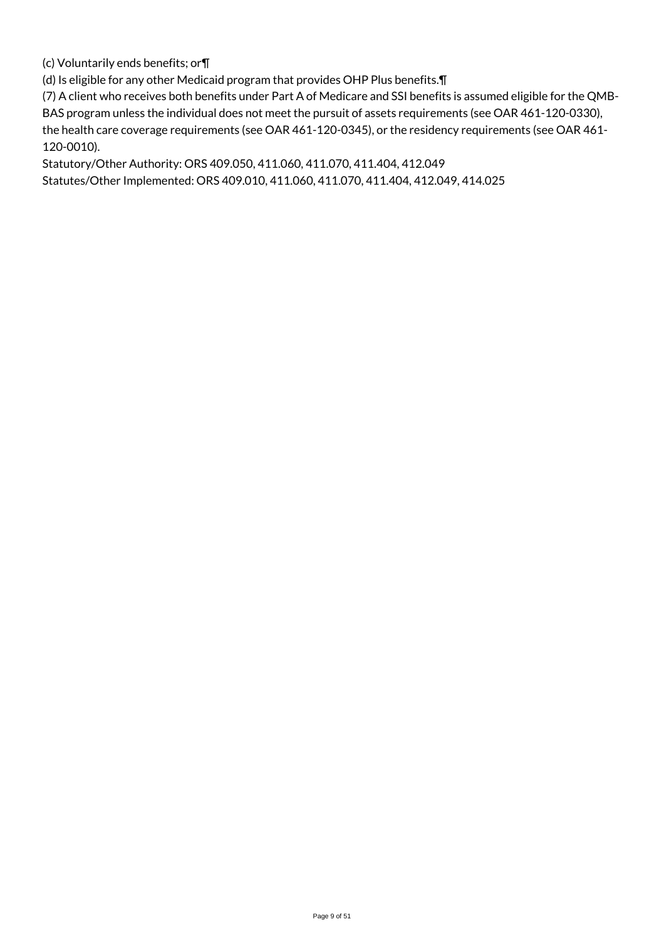(c) Voluntarily ends benefits; or¶

(d) Is eligible for any other Medicaid program that provides OHP Plus benefits.¶

(7) A client who receives both benefits under Part A of Medicare and SSI benefits is assumed eligible for the QMB-BAS program unless the individual does not meet the pursuit of assets requirements (see OAR 461-120-0330), the health care coverage requirements (see OAR 461-120-0345), or the residency requirements (see OAR 461- 120-0010).

Statutory/Other Authority: ORS 409.050, 411.060, 411.070, 411.404, 412.049 Statutes/Other Implemented: ORS 409.010, 411.060, 411.070, 411.404, 412.049, 414.025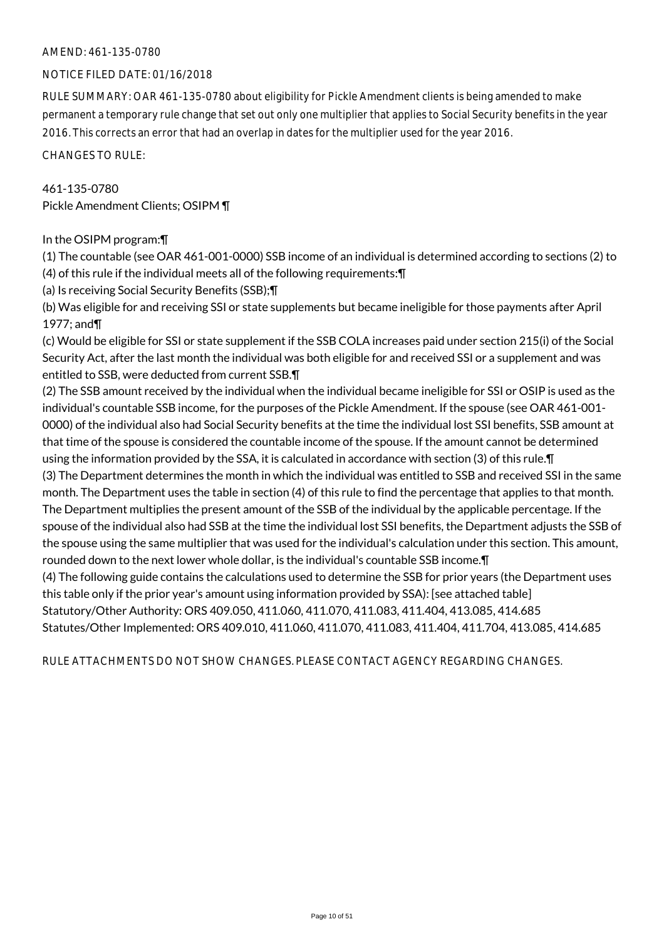#### NOTICE FILED DATE: 01/16/2018

RULE SUMMARY: OAR 461-135-0780 about eligibility for Pickle Amendment clients is being amended to make permanent a temporary rule change that set out only one multiplier that applies to Social Security benefits in the year 2016. This corrects an error that had an overlap in dates for the multiplier used for the year 2016.

CHANGES TO RULE:

#### 461-135-0780

Pickle Amendment Clients; OSIPM ¶

#### In the OSIPM program:¶

(1) The countable (see OAR 461-001-0000) SSB income of an individual is determined according to sections (2) to (4) of this rule if the individual meets all of the following requirements:¶

(a) Is receiving Social Security Benefits (SSB);¶

(b) Was eligible for and receiving SSI or state supplements but became ineligible for those payments after April 1977; and¶

(c) Would be eligible for SSI or state supplement if the SSB COLA increases paid under section 215(i) of the Social Security Act, after the last month the individual was both eligible for and received SSI or a supplement and was entitled to SSB, were deducted from current SSB.¶

(2) The SSB amount received by the individual when the individual became ineligible for SSI or OSIP is used as the individual's countable SSB income, for the purposes of the Pickle Amendment. If the spouse (see OAR 461-001- 0000) of the individual also had Social Security benefits at the time the individual lost SSI benefits, SSB amount at that time of the spouse is considered the countable income of the spouse. If the amount cannot be determined using the information provided by the SSA, it is calculated in accordance with section (3) of this rule.¶ (3) The Department determines the month in which the individual was entitled to SSB and received SSI in the same month. The Department uses the table in section (4) of this rule to find the percentage that applies to that month. The Department multiplies the present amount of the SSB of the individual by the applicable percentage. If the spouse of the individual also had SSB at the time the individual lost SSI benefits, the Department adjusts the SSB of the spouse using the same multiplier that was used for the individual's calculation under this section. This amount, rounded down to the next lower whole dollar, is the individual's countable SSB income.¶ (4) The following guide contains the calculations used to determine the SSB for prior years (the Department uses this table only if the prior year's amount using information provided by SSA): [see attached table] Statutory/Other Authority: ORS 409.050, 411.060, 411.070, 411.083, 411.404, 413.085, 414.685 Statutes/Other Implemented: ORS 409.010, 411.060, 411.070, 411.083, 411.404, 411.704, 413.085, 414.685

RULE ATTACHMENTS DO NOT SHOW CHANGES. PLEASE CONTACT AGENCY REGARDING CHANGES.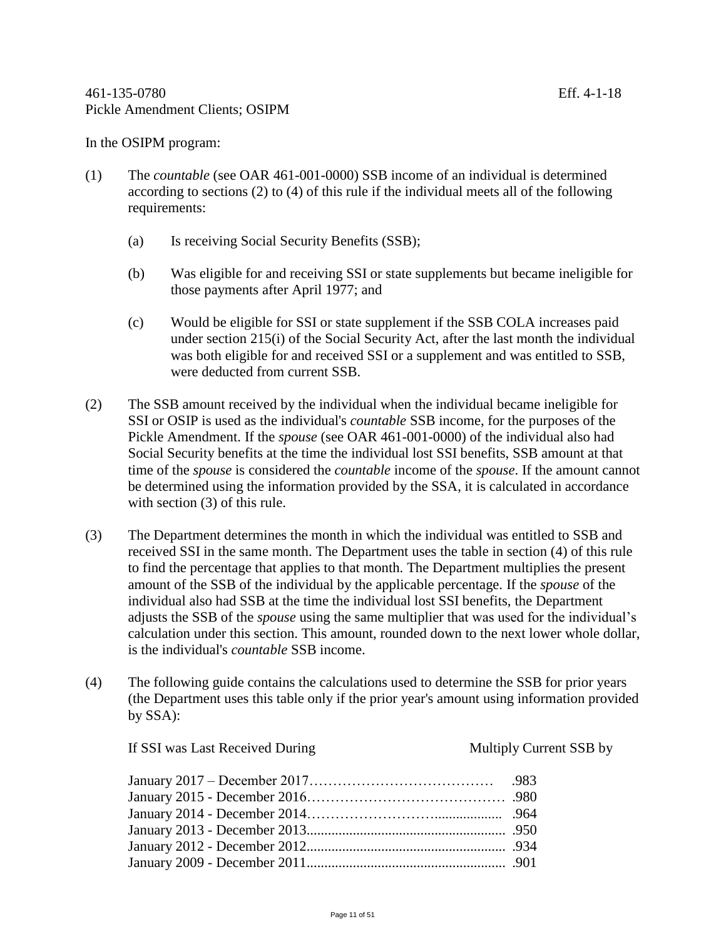In the OSIPM program:

- (1) The *countable* (see OAR 461-001-0000) SSB income of an individual is determined according to sections (2) to (4) of this rule if the individual meets all of the following requirements:
	- (a) Is receiving Social Security Benefits (SSB);
	- (b) Was eligible for and receiving SSI or state supplements but became ineligible for those payments after April 1977; and
	- (c) Would be eligible for SSI or state supplement if the SSB COLA increases paid under section 215(i) of the Social Security Act, after the last month the individual was both eligible for and received SSI or a supplement and was entitled to SSB, were deducted from current SSB.
- (2) The SSB amount received by the individual when the individual became ineligible for SSI or OSIP is used as the individual's *countable* SSB income, for the purposes of the Pickle Amendment. If the *spouse* (see OAR 461-001-0000) of the individual also had Social Security benefits at the time the individual lost SSI benefits, SSB amount at that time of the *spouse* is considered the *countable* income of the *spouse*. If the amount cannot be determined using the information provided by the SSA, it is calculated in accordance with section (3) of this rule.
- (3) The Department determines the month in which the individual was entitled to SSB and received SSI in the same month. The Department uses the table in section (4) of this rule to find the percentage that applies to that month. The Department multiplies the present amount of the SSB of the individual by the applicable percentage. If the *spouse* of the individual also had SSB at the time the individual lost SSI benefits, the Department adjusts the SSB of the *spouse* using the same multiplier that was used for the individual's calculation under this section. This amount, rounded down to the next lower whole dollar, is the individual's *countable* SSB income.
- (4) The following guide contains the calculations used to determine the SSB for prior years (the Department uses this table only if the prior year's amount using information provided by SSA):

| If SSI was Last Received During | Multiply Current SSB by |
|---------------------------------|-------------------------|
|                                 |                         |
|                                 |                         |
|                                 |                         |
|                                 |                         |
|                                 |                         |
|                                 |                         |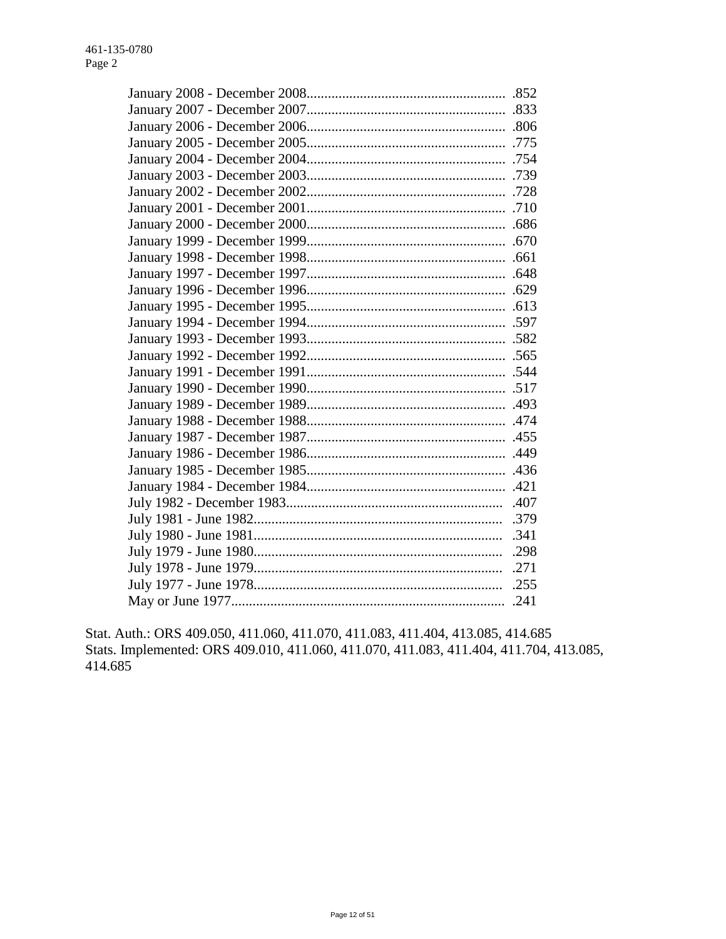Stat. Auth.: ORS 409.050, 411.060, 411.070, 411.083, 411.404, 413.085, 414.685 Stats. Implemented: ORS 409.010, 411.060, 411.070, 411.083, 411.404, 411.704, 413.085, 414.685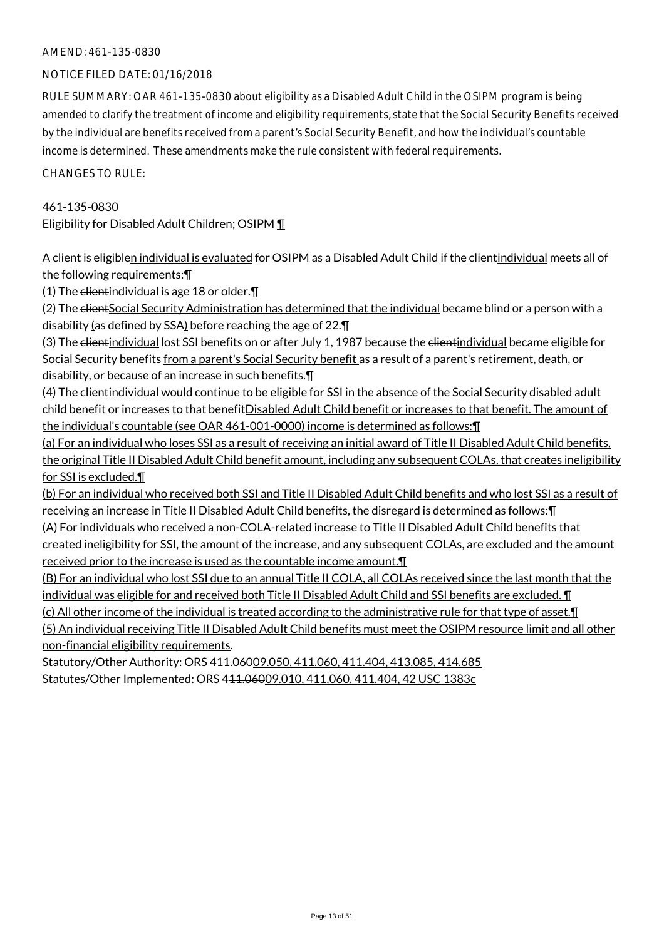#### NOTICE FILED DATE: 01/16/2018

RULE SUMMARY: OAR 461-135-0830 about eligibility as a Disabled Adult Child in the OSIPM program is being amended to clarify the treatment of income and eligibility requirements, state that the Social Security Benefits received by the individual are benefits received from a parent's Social Security Benefit, and how the individual's countable income is determined. These amendments make the rule consistent with federal requirements.

CHANGES TO RULE:

### 461-135-0830 Eligibility for Disabled Adult Children; OSIPM ¶

A client is eligiblen individual is evaluated for OSIPM as a Disabled Adult Child if the clientindividual meets all of the following requirements:¶

(1) The  $\epsilon$ lientindividual is age 18 or older. $\P$ 

(2) The elientSocial Security Administration has determined that the individual became blind or a person with a disability (as defined by SSA) before reaching the age of 22.¶

(3) The elientindividual lost SSI benefits on or after July 1, 1987 because the elientindividual became eligible for Social Security benefits from a parent's Social Security benefit as a result of a parent's retirement, death, or disability, or because of an increase in such benefits.¶

(4) The clientindividual would continue to be eligible for SSI in the absence of the Social Security disabled adult child benefit or increases to that benefitDisabled Adult Child benefit or increases to that benefit. The amount of the individual's countable (see OAR 461-001-0000) income is determined as follows:¶

(a) For an individual who loses SSI as a result of receiving an initial award of Title II Disabled Adult Child benefits, the original Title II Disabled Adult Child benefit amount, including any subsequent COLAs, that creates ineligibility for SSI is excluded.¶

(b) For an individual who received both SSI and Title II Disabled Adult Child benefits and who lost SSI as a result of receiving an increase in Title II Disabled Adult Child benefits, the disregard is determined as follows:¶

(A) For individuals who received a non-COLA-related increase to Title II Disabled Adult Child benefits that created ineligibility for SSI, the amount of the increase, and any subsequent COLAs, are excluded and the amount received prior to the increase is used as the countable income amount.¶

(B) For an individual who lost SSI due to an annual Title II COLA, all COLAs received since the last month that the individual was eligible for and received both Title II Disabled Adult Child and SSI benefits are excluded. ¶

(c) All other income of the individual is treated according to the administrative rule for that type of asset.¶

(5) An individual receiving Title II Disabled Adult Child benefits must meet the OSIPM resource limit and all other non-financial eligibility requirements.

Statutory/Other Authority: ORS 411.06009.050, 411.060, 411.404, 413.085, 414.685 Statutes/Other Implemented: ORS 411.06009.010, 411.060, 411.404, 42 USC 1383c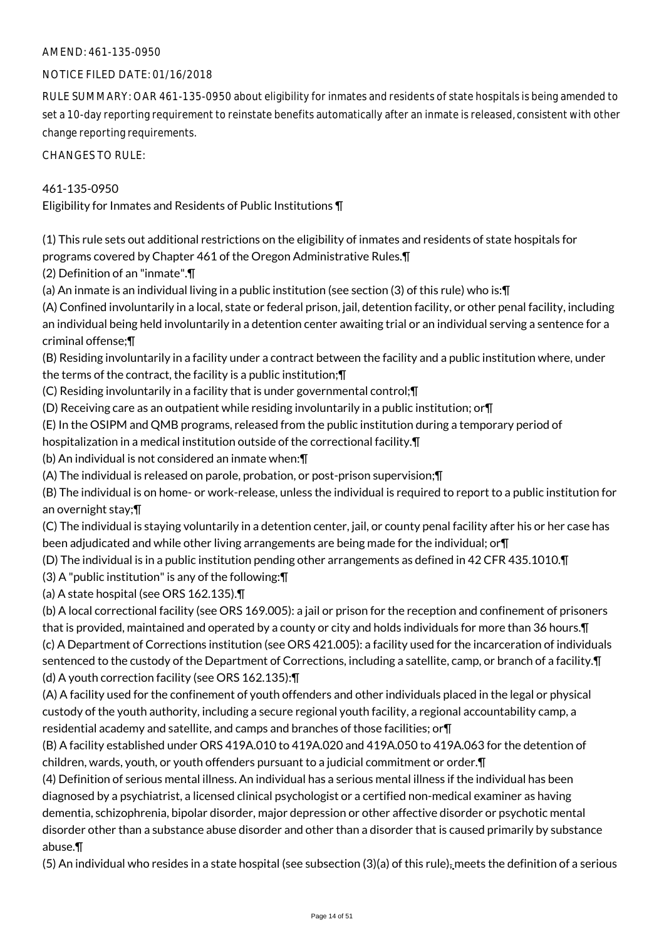#### NOTICE FILED DATE: 01/16/2018

RULE SUMMARY: OAR 461-135-0950 about eligibility for inmates and residents of state hospitals is being amended to set a 10-day reporting requirement to reinstate benefits automatically after an inmate is released, consistent with other change reporting requirements.

CHANGES TO RULE:

#### 461-135-0950

Eligibility for Inmates and Residents of Public Institutions ¶

(1) This rule sets out additional restrictions on the eligibility of inmates and residents of state hospitals for programs covered by Chapter 461 of the Oregon Administrative Rules.¶

(2) Definition of an "inmate".¶

(a) An inmate is an individual living in a public institution (see section (3) of this rule) who is:¶

(A) Confined involuntarily in a local, state or federal prison, jail, detention facility, or other penal facility, including an individual being held involuntarily in a detention center awaiting trial or an individual serving a sentence for a criminal offense;¶

(B) Residing involuntarily in a facility under a contract between the facility and a public institution where, under the terms of the contract, the facility is a public institution;¶

(C) Residing involuntarily in a facility that is under governmental control;¶

(D) Receiving care as an outpatient while residing involuntarily in a public institution; or¶

(E) In the OSIPM and QMB programs, released from the public institution during a temporary period of

hospitalization in a medical institution outside of the correctional facility.¶

(b) An individual is not considered an inmate when:¶

(A) The individual is released on parole, probation, or post-prison supervision;¶

(B) The individual is on home- or work-release, unless the individual is required to report to a public institution for an overnight stay;¶

(C) The individual is staying voluntarily in a detention center, jail, or county penal facility after his or her case has been adjudicated and while other living arrangements are being made for the individual; or¶

(D) The individual is in a public institution pending other arrangements as defined in 42 CFR 435.1010.¶

(3) A "public institution" is any of the following:¶

(a) A state hospital (see ORS 162.135).¶

(b) A local correctional facility (see ORS 169.005): a jail or prison for the reception and confinement of prisoners that is provided, maintained and operated by a county or city and holds individuals for more than 36 hours.¶ (c) A Department of Corrections institution (see ORS 421.005): a facility used for the incarceration of individuals sentenced to the custody of the Department of Corrections, including a satellite, camp, or branch of a facility.¶

(d) A youth correction facility (see ORS 162.135):¶

(A) A facility used for the confinement of youth offenders and other individuals placed in the legal or physical custody of the youth authority, including a secure regional youth facility, a regional accountability camp, a residential academy and satellite, and camps and branches of those facilities; or¶

(B) A facility established under ORS 419A.010 to 419A.020 and 419A.050 to 419A.063 for the detention of children, wards, youth, or youth offenders pursuant to a judicial commitment or order.¶

(4) Definition of serious mental illness. An individual has a serious mental illness if the individual has been diagnosed by a psychiatrist, a licensed clinical psychologist or a certified non-medical examiner as having dementia, schizophrenia, bipolar disorder, major depression or other affective disorder or psychotic mental disorder other than a substance abuse disorder and other than a disorder that is caused primarily by substance abuse.¶

(5) An individual who resides in a state hospital (see subsection  $(3)(a)$  of this rule)<sub>z</sub> meets the definition of a serious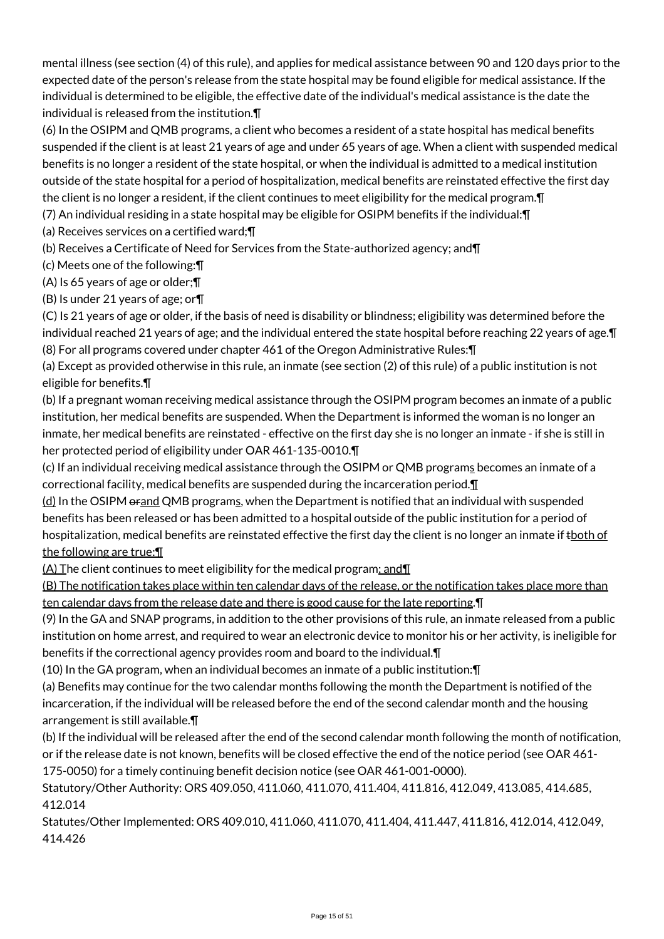mental illness (see section (4) of this rule), and applies for medical assistance between 90 and 120 days prior to the expected date of the person's release from the state hospital may be found eligible for medical assistance. If the individual is determined to be eligible, the effective date of the individual's medical assistance is the date the individual is released from the institution.¶

(6) In the OSIPM and QMB programs, a client who becomes a resident of a state hospital has medical benefits suspended if the client is at least 21 years of age and under 65 years of age. When a client with suspended medical benefits is no longer a resident of the state hospital, or when the individual is admitted to a medical institution outside of the state hospital for a period of hospitalization, medical benefits are reinstated effective the first day the client is no longer a resident, if the client continues to meet eligibility for the medical program. The state of

(7) An individual residing in a state hospital may be eligible for OSIPM benefits if the individual:¶

(a) Receives services on a certified ward;¶

(b) Receives a Certificate of Need for Services from the State-authorized agency; and¶

(c) Meets one of the following:¶

(A) Is 65 years of age or older;¶

(B) Is under 21 years of age; or¶

(C) Is 21 years of age or older, if the basis of need is disability or blindness; eligibility was determined before the individual reached 21 years of age; and the individual entered the state hospital before reaching 22 years of age.¶ (8) For all programs covered under chapter 461 of the Oregon Administrative Rules:¶

(a) Except as provided otherwise in this rule, an inmate (see section (2) of this rule) of a public institution is not eligible for benefits.¶

(b) If a pregnant woman receiving medical assistance through the OSIPM program becomes an inmate of a public institution, her medical benefits are suspended. When the Department is informed the woman is no longer an inmate, her medical benefits are reinstated - effective on the first day she is no longer an inmate - if she is still in her protected period of eligibility under OAR 461-135-0010.¶

(c) If an individual receiving medical assistance through the OSIPM or QMB programs becomes an inmate of a correctional facility, medical benefits are suspended during the incarceration period.¶

(d) In the OSIPM orand QMB programs, when the Department is notified that an individual with suspended benefits has been released or has been admitted to a hospital outside of the public institution for a period of hospitalization, medical benefits are reinstated effective the first day the client is no longer an inmate if thoth of the following are true:¶

(A) The client continues to meet eligibility for the medical program; and¶

(B) The notification takes place within ten calendar days of the release, or the notification takes place more than ten calendar days from the release date and there is good cause for the late reporting. **T** 

(9) In the GA and SNAP programs, in addition to the other provisions of this rule, an inmate released from a public institution on home arrest, and required to wear an electronic device to monitor his or her activity, is ineligible for benefits if the correctional agency provides room and board to the individual.¶

(10) In the GA program, when an individual becomes an inmate of a public institution:¶

(a) Benefits may continue for the two calendar months following the month the Department is notified of the incarceration, if the individual will be released before the end of the second calendar month and the housing arrangement is still available.¶

(b) If the individual will be released after the end of the second calendar month following the month of notification, or if the release date is not known, benefits will be closed effective the end of the notice period (see OAR 461- 175-0050) for a timely continuing benefit decision notice (see OAR 461-001-0000).

Statutory/Other Authority: ORS 409.050, 411.060, 411.070, 411.404, 411.816, 412.049, 413.085, 414.685, 412.014

Statutes/Other Implemented: ORS 409.010, 411.060, 411.070, 411.404, 411.447, 411.816, 412.014, 412.049, 414.426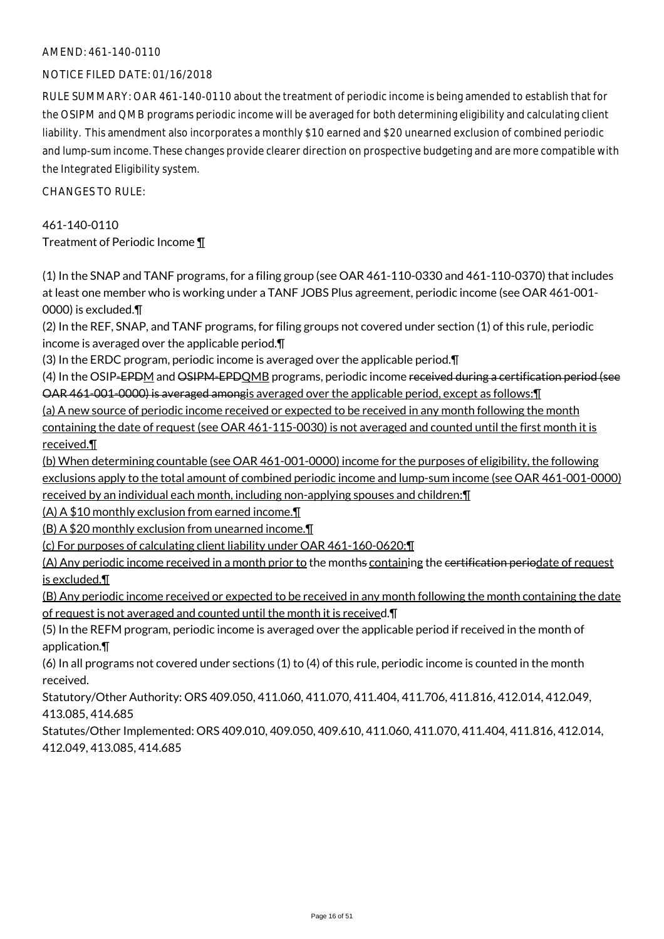#### NOTICE FILED DATE: 01/16/2018

RULE SUMMARY: OAR 461-140-0110 about the treatment of periodic income is being amended to establish that for the OSIPM and QMB programs periodic income will be averaged for both determining eligibility and calculating client liability. This amendment also incorporates a monthly \$10 earned and \$20 unearned exclusion of combined periodic and lump-sum income. These changes provide clearer direction on prospective budgeting and are more compatible with the Integrated Eligibility system.

 $CHANGESTORUIF$ 

461-140-0110 Treatment of Periodic Income ¶

(1) In the SNAP and TANF programs, for a filing group (see OAR 461-110-0330 and 461-110-0370) that includes at least one member who is working under a TANF JOBS Plus agreement, periodic income (see OAR 461-001- 0000) is excluded.¶

(2) In the REF, SNAP, and TANF programs, for filing groups not covered under section (1) of this rule, periodic income is averaged over the applicable period.¶

(3) In the ERDC program, periodic income is averaged over the applicable period.¶

(4) In the OSIP-EPDM and OSIPM-EPDOMB programs, periodic income received during a certification period (see OAR 461-001-0000) is averaged amongis averaged over the applicable period, except as follows:¶

(a) A new source of periodic income received or expected to be received in any month following the month

containing the date of request (see OAR 461-115-0030) is not averaged and counted until the first month it is received.¶

(b) When determining countable (see OAR 461-001-0000) income for the purposes of eligibility, the following exclusions apply to the total amount of combined periodic income and lump-sum income (see OAR 461-001-0000) received by an individual each month, including non-applying spouses and children:¶

(A) A \$10 monthly exclusion from earned income.¶

(B) A \$20 monthly exclusion from unearned income.¶

(c) For purposes of calculating client liability under OAR 461-160-0620:¶

(A) Any periodic income received in a month prior to the months containing the certification periodate of request is excluded.¶

(B) Any periodic income received or expected to be received in any month following the month containing the date of request is not averaged and counted until the month it is received.¶

(5) In the REFM program, periodic income is averaged over the applicable period if received in the month of application.¶

(6) In all programs not covered under sections (1) to (4) of this rule, periodic income is counted in the month received.

Statutory/Other Authority: ORS 409.050, 411.060, 411.070, 411.404, 411.706, 411.816, 412.014, 412.049, 413.085, 414.685

Statutes/Other Implemented: ORS 409.010, 409.050, 409.610, 411.060, 411.070, 411.404, 411.816, 412.014, 412.049, 413.085, 414.685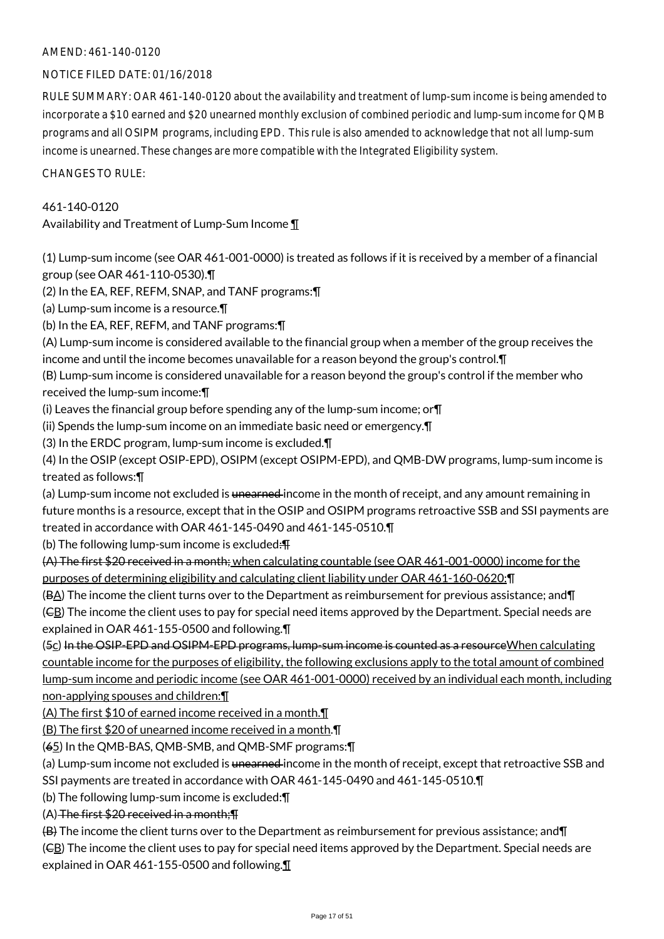#### NOTICE FILED DATE: 01/16/2018

RULE SUMMARY: OAR 461-140-0120 about the availability and treatment of lump-sum income is being amended to incorporate a \$10 earned and \$20 unearned monthly exclusion of combined periodic and lump-sum income for QMB programs and all OSIPM programs, including EPD. This rule is also amended to acknowledge that not all lump-sum income is unearned. These changes are more compatible with the Integrated Eligibility system.

CHANGES TO RULE:

#### 461-140-0120

Availability and Treatment of Lump-Sum Income ¶

(1) Lump-sum income (see OAR 461-001-0000) is treated as follows if it is received by a member of a financial group (see OAR 461-110-0530).¶

(2) In the EA, REF, REFM, SNAP, and TANF programs:¶

(a) Lump-sum income is a resource.¶

(b) In the EA, REF, REFM, and TANF programs:¶

(A) Lump-sum income is considered available to the financial group when a member of the group receives the income and until the income becomes unavailable for a reason beyond the group's control.¶

(B) Lump-sum income is considered unavailable for a reason beyond the group's control if the member who received the lump-sum income:¶

(i) Leaves the financial group before spending any of the lump-sum income; or¶

(ii) Spends the lump-sum income on an immediate basic need or emergency.¶

(3) In the ERDC program, lump-sum income is excluded.¶

(4) In the OSIP (except OSIP-EPD), OSIPM (except OSIPM-EPD), and QMB-DW programs, lump-sum income is treated as follows:¶

(a) Lump-sum income not excluded is unearned income in the month of receipt, and any amount remaining in future months is a resource, except that in the OSIP and OSIPM programs retroactive SSB and SSI payments are treated in accordance with OAR 461-145-0490 and 461-145-0510.¶

(b) The following lump-sum income is excluded: $\text{H}$ 

(A) The first \$20 received in a month; when calculating countable (see OAR 461-001-0000) income for the purposes of determining eligibility and calculating client liability under OAR 461-160-0620:¶

(BA) The income the client turns over to the Department as reimbursement for previous assistance; and¶

 $(E<sub>B</sub>)$  The income the client uses to pay for special need items approved by the Department. Special needs are explained in OAR 461-155-0500 and following.¶

(5c) In the OSIP-EPD and OSIPM-EPD programs, lump-sum income is counted as a resource When calculating countable income for the purposes of eligibility, the following exclusions apply to the total amount of combined lump-sum income and periodic income (see OAR 461-001-0000) received by an individual each month, including non-applying spouses and children:¶

(A) The first \$10 of earned income received in a month.¶

(B) The first \$20 of unearned income received in a month.¶

(65) In the QMB-BAS, QMB-SMB, and QMB-SMF programs:¶

(a) Lump-sum income not excluded is <del>unearned</del> income in the month of receipt, except that retroactive SSB and SSI payments are treated in accordance with OAR 461-145-0490 and 461-145-0510.¶

(b) The following lump-sum income is excluded:¶

 $(A)$  The first \$20 received in a month;  $\P$ 

(B) The income the client turns over to the Department as reimbursement for previous assistance; and¶

(CB) The income the client uses to pay for special need items approved by the Department. Special needs are explained in OAR 461-155-0500 and following.¶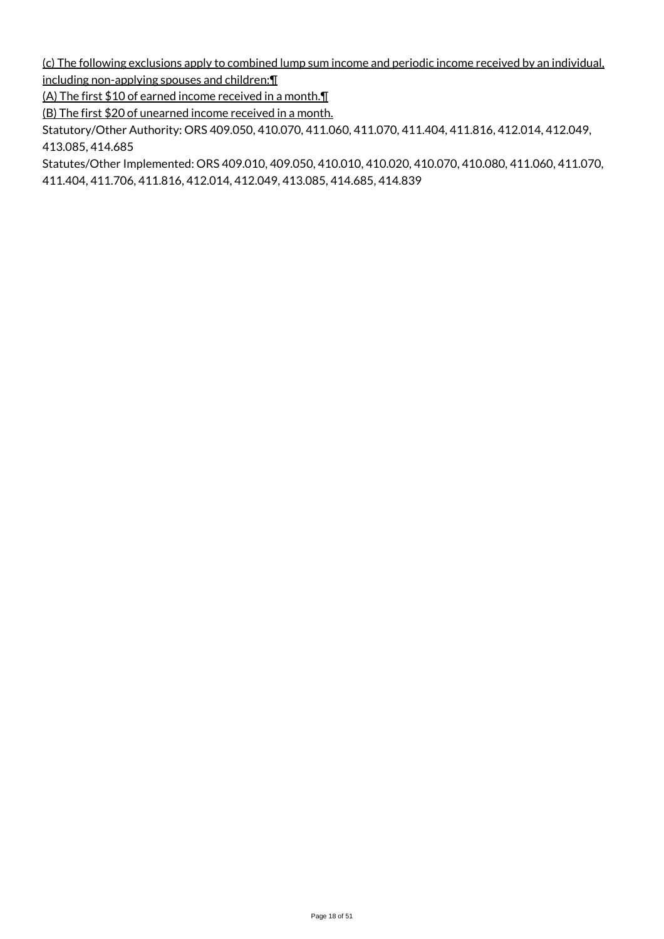(c) The following exclusions apply to combined lump sum income and periodic income received by an individual, including non-applying spouses and children:¶

(A) The first \$10 of earned income received in a month.¶

(B) The first \$20 of unearned income received in a month.

Statutory/Other Authority: ORS 409.050, 410.070, 411.060, 411.070, 411.404, 411.816, 412.014, 412.049, 413.085, 414.685

Statutes/Other Implemented: ORS 409.010, 409.050, 410.010, 410.020, 410.070, 410.080, 411.060, 411.070, 411.404, 411.706, 411.816, 412.014, 412.049, 413.085, 414.685, 414.839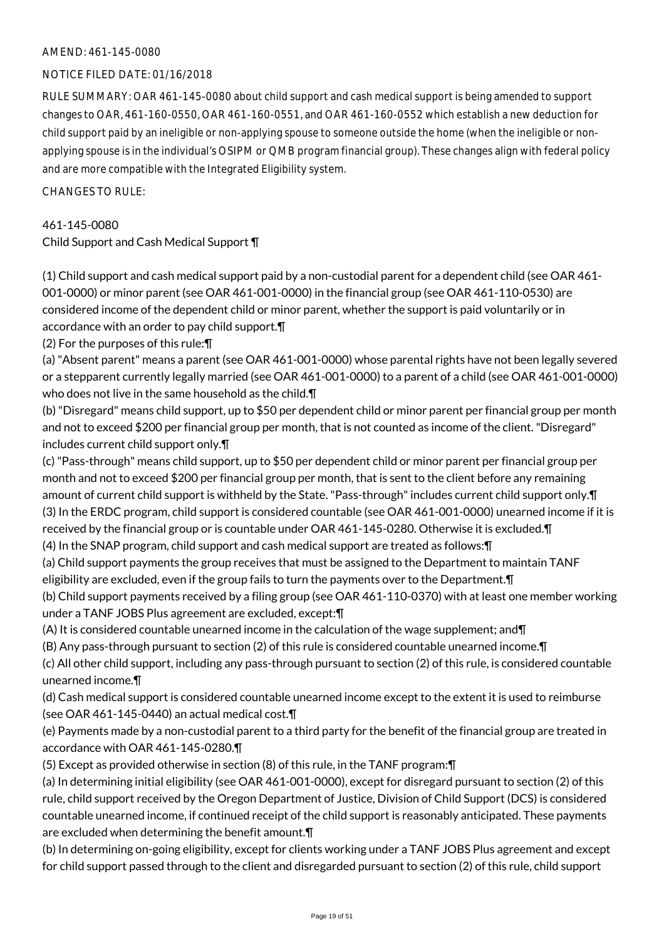#### NOTICE FILED DATE: 01/16/2018

RULE SUMMARY: OAR 461-145-0080 about child support and cash medical support is being amended to support changes to OAR, 461-160-0550, OAR 461-160-0551, and OAR 461-160-0552 which establish a new deduction for child support paid by an ineligible or non-applying spouse to someone outside the home (when the ineligible or nonapplying spouse is in the individual's OSIPM or QMB program financial group). These changes align with federal policy and are more compatible with the Integrated Eligibility system.

CHANGES TO RULE:

#### 461-145-0080

Child Support and Cash Medical Support ¶

(1) Child support and cash medical support paid by a non-custodial parent for a dependent child (see OAR 461- 001-0000) or minor parent (see OAR 461-001-0000) in the financial group (see OAR 461-110-0530) are considered income of the dependent child or minor parent, whether the support is paid voluntarily or in accordance with an order to pay child support.¶

(2) For the purposes of this rule:¶

(a) "Absent parent" means a parent (see OAR 461-001-0000) whose parental rights have not been legally severed or a stepparent currently legally married (see OAR 461-001-0000) to a parent of a child (see OAR 461-001-0000) who does not live in the same household as the child.¶

(b) "Disregard" means child support, up to \$50 per dependent child or minor parent per financial group per month and not to exceed \$200 per financial group per month, that is not counted as income of the client. "Disregard" includes current child support only.¶

(c) "Pass-through" means child support, up to \$50 per dependent child or minor parent per financial group per month and not to exceed \$200 per financial group per month, that is sent to the client before any remaining amount of current child support is withheld by the State. "Pass-through" includes current child support only.¶ (3) In the ERDC program, child support is considered countable (see OAR 461-001-0000) unearned income if it is received by the financial group or is countable under OAR 461-145-0280. Otherwise it is excluded.¶

(4) In the SNAP program, child support and cash medical support are treated as follows:¶

(a) Child support payments the group receives that must be assigned to the Department to maintain TANF eligibility are excluded, even if the group fails to turn the payments over to the Department.¶

(b) Child support payments received by a filing group (see OAR 461-110-0370) with at least one member working under a TANF JOBS Plus agreement are excluded, except:¶

(A) It is considered countable unearned income in the calculation of the wage supplement; and¶

(B) Any pass-through pursuant to section (2) of this rule is considered countable unearned income.¶

(c) All other child support, including any pass-through pursuant to section (2) of this rule, is considered countable unearned income.¶

(d) Cash medical support is considered countable unearned income except to the extent it is used to reimburse (see OAR 461-145-0440) an actual medical cost.¶

(e) Payments made by a non-custodial parent to a third party for the benefit of the financial group are treated in accordance with OAR 461-145-0280.¶

(5) Except as provided otherwise in section (8) of this rule, in the TANF program:¶

(a) In determining initial eligibility (see OAR 461-001-0000), except for disregard pursuant to section (2) of this rule, child support received by the Oregon Department of Justice, Division of Child Support (DCS) is considered countable unearned income, if continued receipt of the child support is reasonably anticipated. These payments are excluded when determining the benefit amount.¶

(b) In determining on-going eligibility, except for clients working under a TANF JOBS Plus agreement and except for child support passed through to the client and disregarded pursuant to section (2) of this rule, child support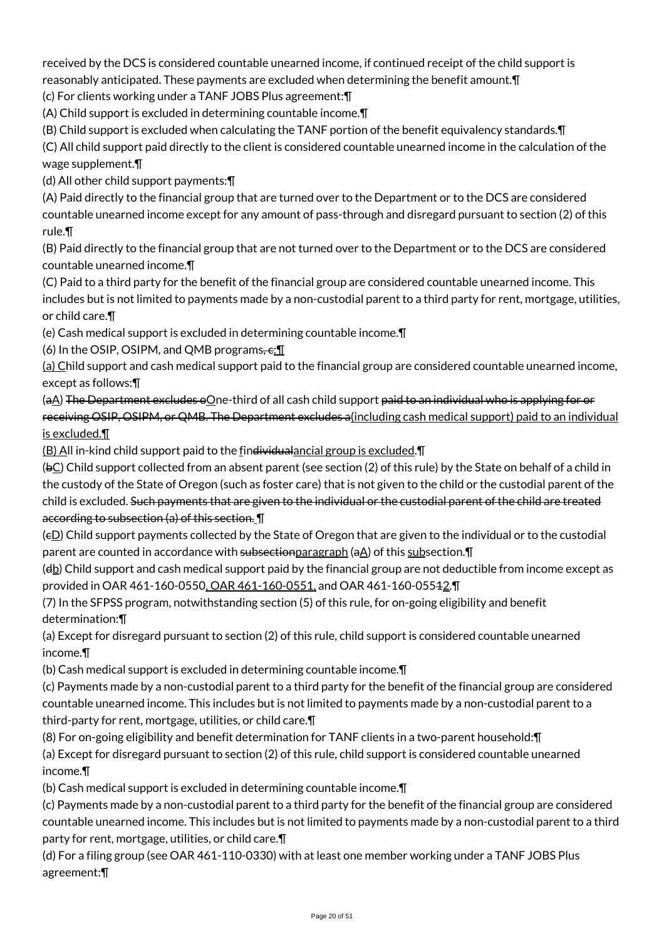received by the DCS is considered countable unearned income, if continued receipt of the child support is reasonably anticipated. These payments are excluded when determining the benefit amount.¶

(c) For clients working under a TANF JOBS Plus agreement:¶

(A) Child support is excluded in determining countable income.¶

(B) Child support is excluded when calculating the TANF portion of the benefit equivalency standards.¶

(C) All child support paid directly to the client is considered countable unearned income in the calculation of the wage supplement.¶

(d) All other child support payments:¶

(A) Paid directly to the financial group that are turned over to the Department or to the DCS are considered countable unearned income except for any amount of pass-through and disregard pursuant to section (2) of this rule.¶

(B) Paid directly to the financial group that are not turned over to the Department or to the DCS are considered countable unearned income.¶

(C) Paid to a third party for the benefit of the financial group are considered countable unearned income. This includes but is not limited to payments made by a non-custodial parent to a third party for rent, mortgage, utilities, or child care.¶

(e) Cash medical support is excluded in determining countable income.¶

(6) In the OSIP, OSIPM, and QMB programs,  $\epsilon: \P$ 

(a) Child support and cash medical support paid to the financial group are considered countable unearned income, except as follows:¶

(aA) The Department excludes oOne-third of all cash child support paid to an individual who is applying for or receiving OSIP, OSIPM, or QMB. The Department excludes a(including cash medical support) paid to an individual is excluded.¶

(B) All in-kind child support paid to the findividualancial group is excluded.¶

 $(bC)$  Child support collected from an absent parent (see section (2) of this rule) by the State on behalf of a child in the custody of the State of Oregon (such as foster care) that is not given to the child or the custodial parent of the child is excluded. Such payments that are given to the individual or the custodial parent of the child are treated according to subsection (a) of this section. ¶

 $(e_1)$  Child support payments collected by the State of Oregon that are given to the individual or to the custodial parent are counted in accordance with subsectionparagraph (aA) of this subsection.¶

 $(d_0)$  Child support and cash medical support paid by the financial group are not deductible from income except as provided in OAR 461-160-0550, OAR 461-160-0551, and OAR 461-160-05512.¶

(7) In the SFPSS program, notwithstanding section (5) of this rule, for on-going eligibility and benefit determination:¶

(a) Except for disregard pursuant to section (2) of this rule, child support is considered countable unearned income.¶

(b) Cash medical support is excluded in determining countable income.¶

(c) Payments made by a non-custodial parent to a third party for the benefit of the financial group are considered countable unearned income. This includes but is not limited to payments made by a non-custodial parent to a third-party for rent, mortgage, utilities, or child care.¶

(8) For on-going eligibility and benefit determination for TANF clients in a two-parent household:¶

(a) Except for disregard pursuant to section (2) of this rule, child support is considered countable unearned income.¶

(b) Cash medical support is excluded in determining countable income.¶

(c) Payments made by a non-custodial parent to a third party for the benefit of the financial group are considered countable unearned income. This includes but is not limited to payments made by a non-custodial parent to a third party for rent, mortgage, utilities, or child care.¶

(d) For a filing group (see OAR 461-110-0330) with at least one member working under a TANF JOBS Plus agreement:¶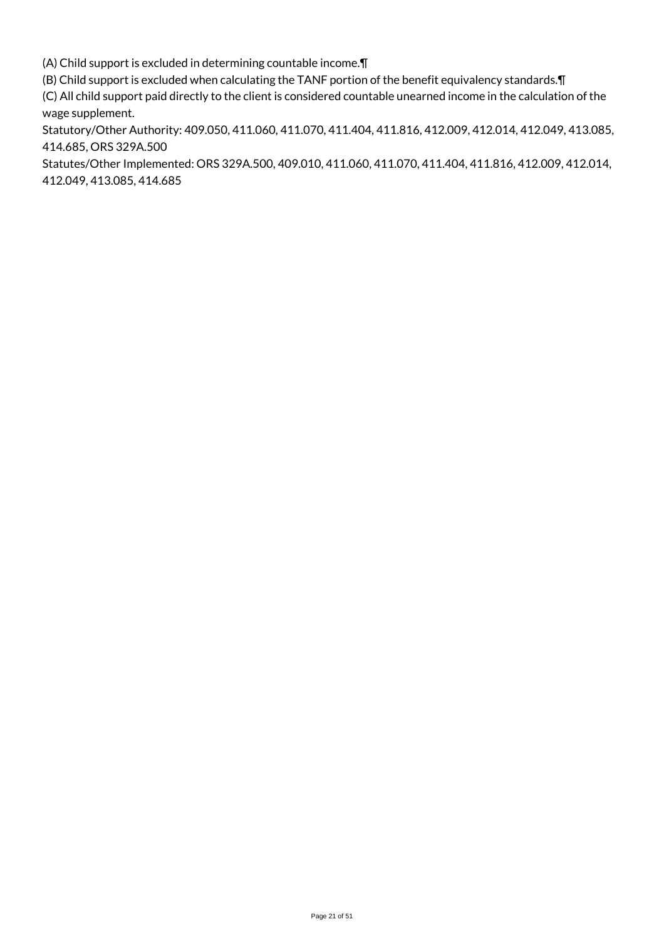(A) Child support is excluded in determining countable income.¶

(B) Child support is excluded when calculating the TANF portion of the benefit equivalency standards.¶

(C) All child support paid directly to the client is considered countable unearned income in the calculation of the wage supplement.

Statutory/Other Authority: 409.050, 411.060, 411.070, 411.404, 411.816, 412.009, 412.014, 412.049, 413.085, 414.685, ORS 329A.500

Statutes/Other Implemented: ORS 329A.500, 409.010, 411.060, 411.070, 411.404, 411.816, 412.009, 412.014, 412.049, 413.085, 414.685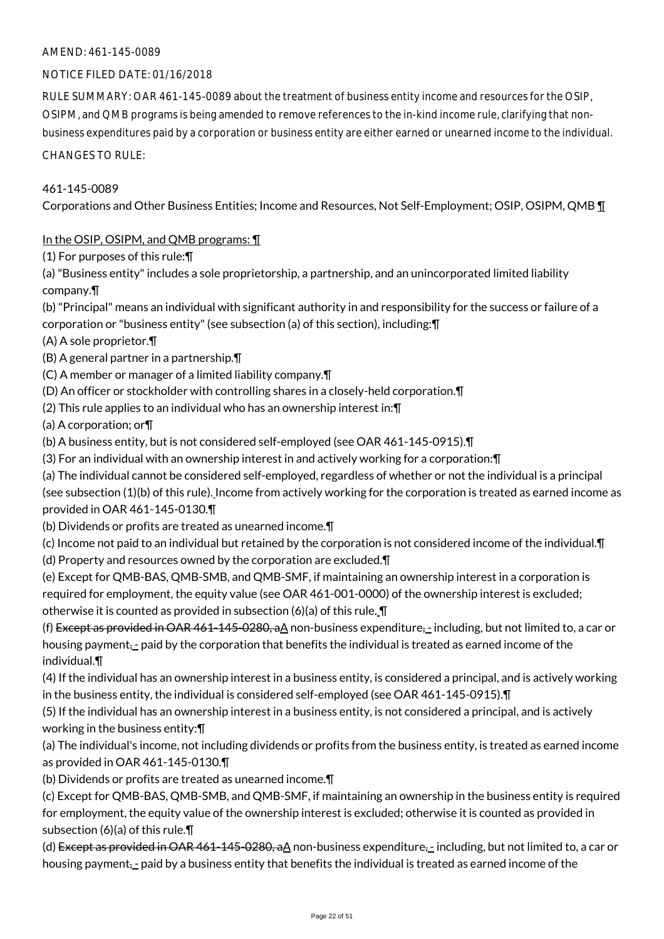#### NOTICE FILED DATE: 01/16/2018

RULE SUMMARY: OAR 461-145-0089 about the treatment of business entity income and resources for the OSIP, OSIPM, and QMB programs is being amended to remove references to the in-kind income rule, clarifying that nonbusiness expenditures paid by a corporation or business entity are either earned or unearned income to the individual.

CHANGES TO RULE:

#### 461-145-0089

Corporations and Other Business Entities; Income and Resources, Not Self-Employment; OSIP, OSIPM, QMB ¶

#### In the OSIP, OSIPM, and QMB programs: ¶

(1) For purposes of this rule:¶

(a) "Business entity" includes a sole proprietorship, a partnership, and an unincorporated limited liability company.¶

(b) "Principal" means an individual with significant authority in and responsibility for the success or failure of a corporation or "business entity" (see subsection (a) of this section), including:¶

(A) A sole proprietor.¶

(B) A general partner in a partnership.¶

(C) A member or manager of a limited liability company.¶

(D) An officer or stockholder with controlling shares in a closely-held corporation.¶

(2) This rule applies to an individual who has an ownership interest in:¶

(a) A corporation; or¶

(b) A business entity, but is not considered self-employed (see OAR 461-145-0915).¶

(3) For an individual with an ownership interest in and actively working for a corporation:¶

(a) The individual cannot be considered self-employed, regardless of whether or not the individual is a principal (see subsection (1)(b) of this rule). Income from actively working for the corporation is treated as earned income as provided in OAR 461-145-0130.¶

(b) Dividends or profits are treated as unearned income.¶

(c) Income not paid to an individual but retained by the corporation is not considered income of the individual.¶

(d) Property and resources owned by the corporation are excluded.¶

(e) Except for QMB-BAS, QMB-SMB, and QMB-SMF, if maintaining an ownership interest in a corporation is required for employment, the equity value (see OAR 461-001-0000) of the ownership interest is excluded; otherwise it is counted as provided in subsection (6)(a) of this rule. ¶

(f) Except as provided in OAR 461-145-0280, a $\Delta$  non-business expenditure, - including, but not limited to, a car or housing payment<sub>z-</sub> paid by the corporation that benefits the individual is treated as earned income of the individual.¶

(4) If the individual has an ownership interest in a business entity, is considered a principal, and is actively working in the business entity, the individual is considered self-employed (see OAR 461-145-0915).¶

(5) If the individual has an ownership interest in a business entity, is not considered a principal, and is actively working in the business entity:¶

(a) The individual's income, not including dividends or profits from the business entity, is treated as earned income as provided in OAR 461-145-0130.¶

(b) Dividends or profits are treated as unearned income.¶

(c) Except for QMB-BAS, QMB-SMB, and QMB-SMF, if maintaining an ownership in the business entity is required for employment, the equity value of the ownership interest is excluded; otherwise it is counted as provided in subsection (6)(a) of this rule.¶

(d) Except as provided in OAR 461-145-0280, a $\Delta$  non-business expenditure, - including, but not limited to, a car or housing payment<sub>z</sub>- paid by a business entity that benefits the individual is treated as earned income of the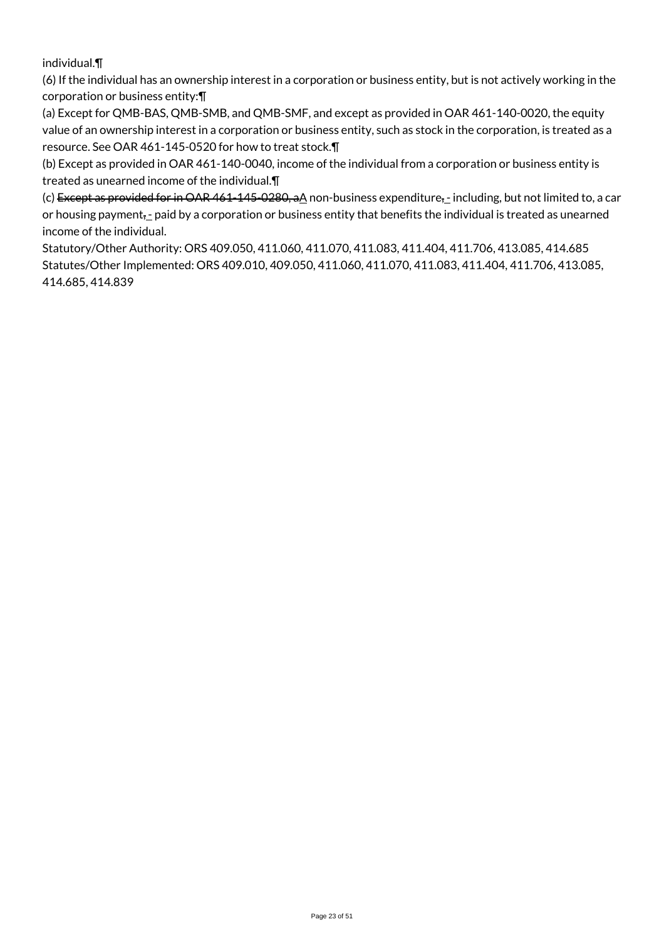individual.¶

(6) If the individual has an ownership interest in a corporation or business entity, but is not actively working in the corporation or business entity:¶

(a) Except for QMB-BAS, QMB-SMB, and QMB-SMF, and except as provided in OAR 461-140-0020, the equity value of an ownership interest in a corporation or business entity, such as stock in the corporation, is treated as a resource. See OAR 461-145-0520 for how to treat stock.¶

(b) Except as provided in OAR 461-140-0040, income of the individual from a corporation or business entity is treated as unearned income of the individual.¶

(c) Except as provided for in OAR 461-145-0280, a $\underline{A}$  non-business expenditure<sub>5-</sub> including, but not limited to, a car or housing payment<sub>z</sub>- paid by a corporation or business entity that benefits the individual is treated as unearned income of the individual.

Statutory/Other Authority: ORS 409.050, 411.060, 411.070, 411.083, 411.404, 411.706, 413.085, 414.685 Statutes/Other Implemented: ORS 409.010, 409.050, 411.060, 411.070, 411.083, 411.404, 411.706, 413.085, 414.685, 414.839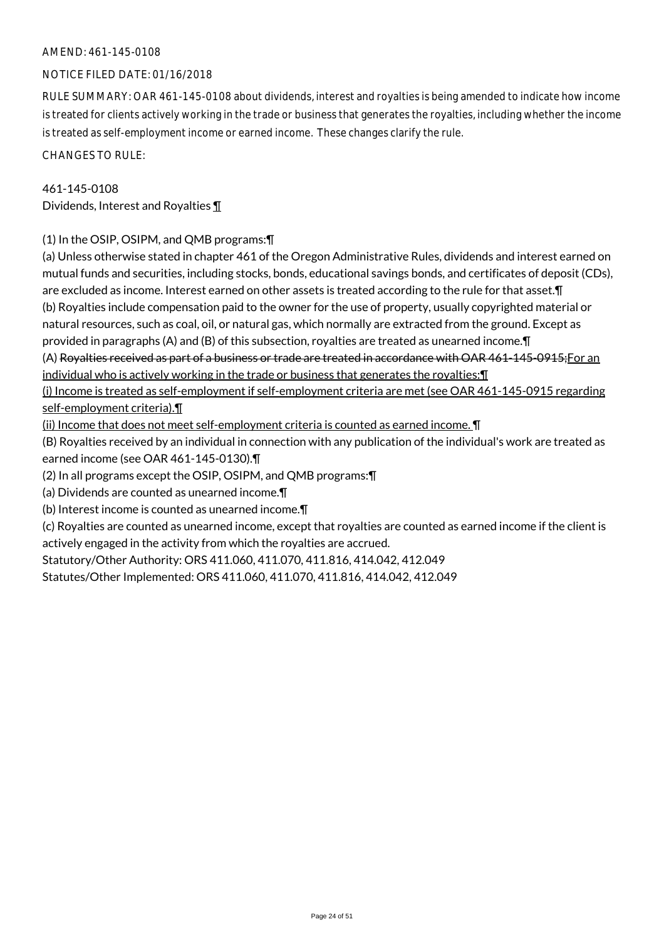#### NOTICE FILED DATE: 01/16/2018

RULE SUMMARY: OAR 461-145-0108 about dividends, interest and royalties is being amended to indicate how income is treated for clients actively working in the trade or business that generates the royalties, including whether the income is treated as self-employment income or earned income. These changes clarify the rule.

CHANGES TO RULE:

#### 461-145-0108

Dividends, Interest and Royalties ¶

#### (1) In the OSIP, OSIPM, and QMB programs:¶

(a) Unless otherwise stated in chapter 461 of the Oregon Administrative Rules, dividends and interest earned on mutual funds and securities, including stocks, bonds, educational savings bonds, and certificates of deposit (CDs), are excluded as income. Interest earned on other assets is treated according to the rule for that asset.¶ (b) Royalties include compensation paid to the owner for the use of property, usually copyrighted material or natural resources, such as coal, oil, or natural gas, which normally are extracted from the ground. Except as provided in paragraphs (A) and (B) of this subsection, royalties are treated as unearned income.¶ (A) Royalties received as part of a business or trade are treated in accordance with OAR 461-145-0915;For an

individual who is actively working in the trade or business that generates the royalties:¶

(i) Income is treated as self-employment if self-employment criteria are met (see OAR 461-145-0915 regarding self-employment criteria).¶

(ii) Income that does not meet self-employment criteria is counted as earned income. ¶

(B) Royalties received by an individual in connection with any publication of the individual's work are treated as earned income (see OAR 461-145-0130).¶

(2) In all programs except the OSIP, OSIPM, and QMB programs:¶

(a) Dividends are counted as unearned income.¶

(b) Interest income is counted as unearned income.¶

(c) Royalties are counted as unearned income, except that royalties are counted as earned income if the client is actively engaged in the activity from which the royalties are accrued.

Statutory/Other Authority: ORS 411.060, 411.070, 411.816, 414.042, 412.049

Statutes/Other Implemented: ORS 411.060, 411.070, 411.816, 414.042, 412.049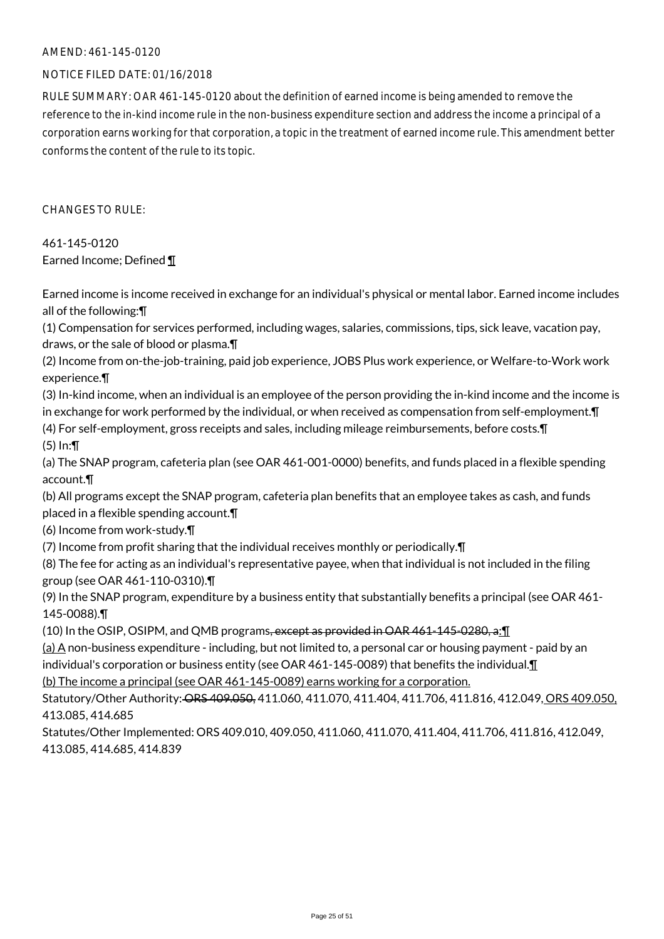#### NOTICE FILED DATE: 01/16/2018

RULE SUMMARY: OAR 461-145-0120 about the definition of earned income is being amended to remove the reference to the in-kind income rule in the non-business expenditure section and address the income a principal of a corporation earns working for that corporation, a topic in the treatment of earned income rule. This amendment better conforms the content of the rule to its topic.

CHANGES TO RULE:

461-145-0120 Earned Income; Defined ¶

Earned income is income received in exchange for an individual's physical or mental labor. Earned income includes all of the following:¶

(1) Compensation for services performed, including wages, salaries, commissions, tips, sick leave, vacation pay, draws, or the sale of blood or plasma.¶

(2) Income from on-the-job-training, paid job experience, JOBS Plus work experience, or Welfare-to-Work work experience.¶

(3) In-kind income, when an individual is an employee of the person providing the in-kind income and the income is in exchange for work performed by the individual, or when received as compensation from self-employment.¶

(4) For self-employment, gross receipts and sales, including mileage reimbursements, before costs.¶ (5) In:¶

(a) The SNAP program, cafeteria plan (see OAR 461-001-0000) benefits, and funds placed in a flexible spending account.¶

(b) All programs except the SNAP program, cafeteria plan benefits that an employee takes as cash, and funds placed in a flexible spending account.¶

(6) Income from work-study.¶

(7) Income from profit sharing that the individual receives monthly or periodically.¶

(8) The fee for acting as an individual's representative payee, when that individual is not included in the filing group (see OAR 461-110-0310).¶

(9) In the SNAP program, expenditure by a business entity that substantially benefits a principal (see OAR 461- 145-0088).¶

(10) In the OSIP, OSIPM, and QMB programs, except as provided in OAR 461-145-0280, a:¶

(a) A non-business expenditure - including, but not limited to, a personal car or housing payment - paid by an individual's corporation or business entity (see OAR 461-145-0089) that benefits the individual.¶

(b) The income a principal (see OAR 461-145-0089) earns working for a corporation.

Statutory/Other Authority: ORS 409.050, 411.060, 411.070, 411.404, 411.706, 411.816, 412.049, ORS 409.050, 413.085, 414.685

Statutes/Other Implemented: ORS 409.010, 409.050, 411.060, 411.070, 411.404, 411.706, 411.816, 412.049, 413.085, 414.685, 414.839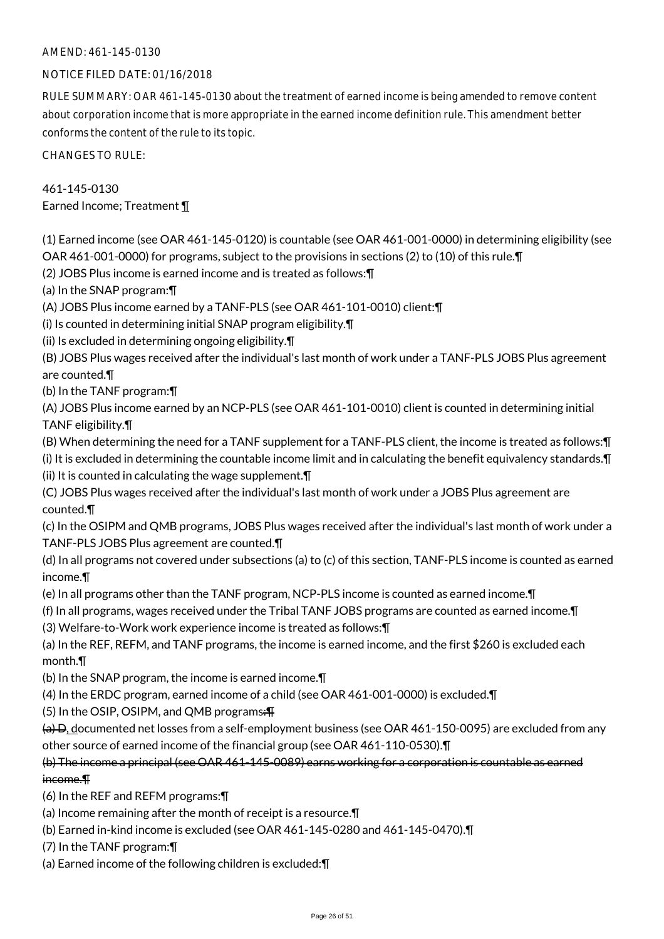#### NOTICE FILED DATE: 01/16/2018

RULE SUMMARY: OAR 461-145-0130 about the treatment of earned income is being amended to remove content about corporation income that is more appropriate in the earned income definition rule. This amendment better conforms the content of the rule to its topic.

CHANGES TO RULE:

### 461-145-0130

Earned Income; Treatment ¶

(1) Earned income (see OAR 461-145-0120) is countable (see OAR 461-001-0000) in determining eligibility (see OAR 461-001-0000) for programs, subject to the provisions in sections (2) to (10) of this rule.¶

(2) JOBS Plus income is earned income and is treated as follows:¶

(a) In the SNAP program:¶

(A) JOBS Plus income earned by a TANF-PLS (see OAR 461-101-0010) client:¶

(i) Is counted in determining initial SNAP program eligibility.¶

(ii) Is excluded in determining ongoing eligibility.¶

(B) JOBS Plus wages received after the individual's last month of work under a TANF-PLS JOBS Plus agreement are counted.¶

(b) In the TANF program:¶

(A) JOBS Plus income earned by an NCP-PLS (see OAR 461-101-0010) client is counted in determining initial TANF eligibility.¶

(B) When determining the need for a TANF supplement for a TANF-PLS client, the income is treated as follows:¶

(i) It is excluded in determining the countable income limit and in calculating the benefit equivalency standards.¶ (ii) It is counted in calculating the wage supplement.¶

(C) JOBS Plus wages received after the individual's last month of work under a JOBS Plus agreement are counted.¶

(c) In the OSIPM and QMB programs, JOBS Plus wages received after the individual's last month of work under a TANF-PLS JOBS Plus agreement are counted.¶

(d) In all programs not covered under subsections (a) to (c) of this section, TANF-PLS income is counted as earned income.¶

(e) In all programs other than the TANF program, NCP-PLS income is counted as earned income.¶

(f) In all programs, wages received under the Tribal TANF JOBS programs are counted as earned income.¶

(3) Welfare-to-Work work experience income is treated as follows:¶

(a) In the REF, REFM, and TANF programs, the income is earned income, and the first \$260 is excluded each month.¶

(b) In the SNAP program, the income is earned income.¶

(4) In the ERDC program, earned income of a child (see OAR 461-001-0000) is excluded.¶

(5) In the OSIP, OSIPM, and QMB programs:¶

(a) D, documented net losses from a self-employment business (see OAR 461-150-0095) are excluded from any other source of earned income of the financial group (see OAR 461-110-0530).¶

### (b) The income a principal (see OAR 461-145-0089) earns working for a corporation is countable as earned income.¶

(6) In the REF and REFM programs:¶

(a) Income remaining after the month of receipt is a resource.¶

(b) Earned in-kind income is excluded (see OAR 461-145-0280 and 461-145-0470).¶

(7) In the TANF program:¶

(a) Earned income of the following children is excluded:¶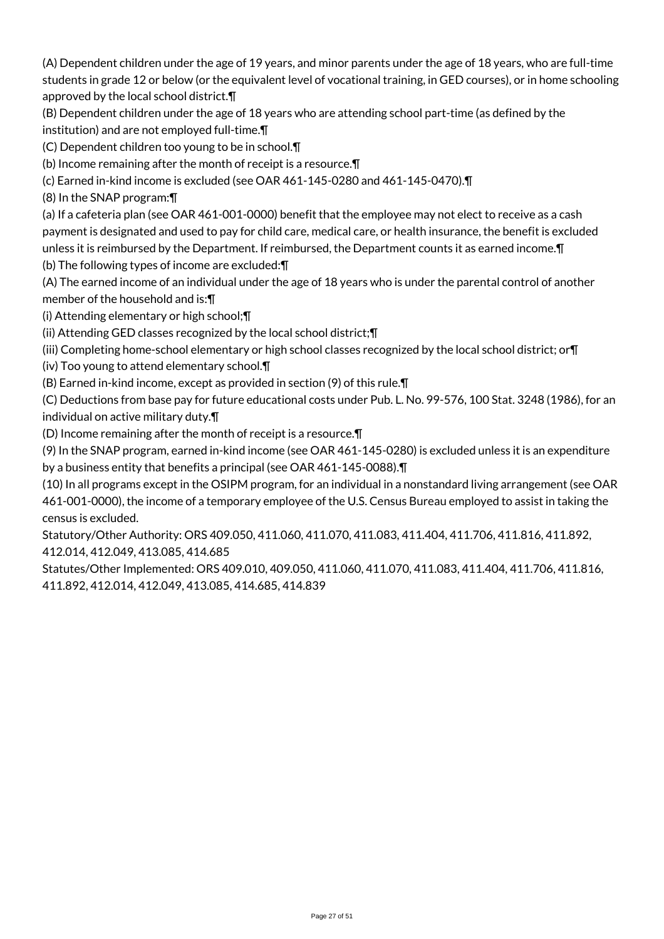(A) Dependent children under the age of 19 years, and minor parents under the age of 18 years, who are full-time students in grade 12 or below (or the equivalent level of vocational training, in GED courses), or in home schooling approved by the local school district.¶

(B) Dependent children under the age of 18 years who are attending school part-time (as defined by the institution) and are not employed full-time.¶

(C) Dependent children too young to be in school.¶

(b) Income remaining after the month of receipt is a resource.¶

(c) Earned in-kind income is excluded (see OAR 461-145-0280 and 461-145-0470).¶

(8) In the SNAP program:¶

(a) If a cafeteria plan (see OAR 461-001-0000) benefit that the employee may not elect to receive as a cash payment is designated and used to pay for child care, medical care, or health insurance, the benefit is excluded unless it is reimbursed by the Department. If reimbursed, the Department counts it as earned income.¶

(b) The following types of income are excluded:¶

(A) The earned income of an individual under the age of 18 years who is under the parental control of another member of the household and is:¶

(i) Attending elementary or high school;¶

(ii) Attending GED classes recognized by the local school district;¶

(iii) Completing home-school elementary or high school classes recognized by the local school district; or¶

(iv) Too young to attend elementary school.¶

(B) Earned in-kind income, except as provided in section (9) of this rule.¶

(C) Deductions from base pay for future educational costs under Pub. L. No. 99-576, 100 Stat. 3248 (1986), for an individual on active military duty.¶

(D) Income remaining after the month of receipt is a resource.¶

(9) In the SNAP program, earned in-kind income (see OAR 461-145-0280) is excluded unless it is an expenditure by a business entity that benefits a principal (see OAR 461-145-0088).¶

(10) In all programs except in the OSIPM program, for an individual in a nonstandard living arrangement (see OAR 461-001-0000), the income of a temporary employee of the U.S. Census Bureau employed to assist in taking the census is excluded.

Statutory/Other Authority: ORS 409.050, 411.060, 411.070, 411.083, 411.404, 411.706, 411.816, 411.892, 412.014, 412.049, 413.085, 414.685

Statutes/Other Implemented: ORS 409.010, 409.050, 411.060, 411.070, 411.083, 411.404, 411.706, 411.816, 411.892, 412.014, 412.049, 413.085, 414.685, 414.839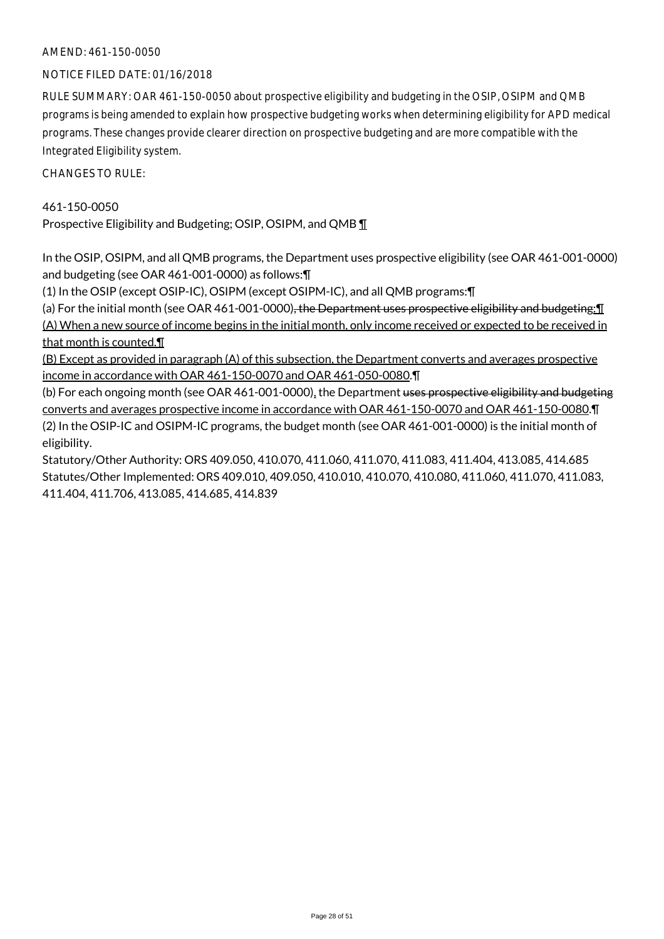#### NOTICE FILED DATE: 01/16/2018

RULE SUMMARY: OAR 461-150-0050 about prospective eligibility and budgeting in the OSIP, OSIPM and QMB programs is being amended to explain how prospective budgeting works when determining eligibility for APD medical programs. These changes provide clearer direction on prospective budgeting and are more compatible with the Integrated Eligibility system.

CHANGES TO RULE:

#### 461-150-0050

Prospective Eligibility and Budgeting; OSIP, OSIPM, and QMB 1

In the OSIP, OSIPM, and all QMB programs, the Department uses prospective eligibility (see OAR 461-001-0000) and budgeting (see OAR 461-001-0000) as follows:¶

(1) In the OSIP (except OSIP-IC), OSIPM (except OSIPM-IC), and all QMB programs:¶

(a) For the initial month (see OAR 461-001-0000)<del>, the Department uses prospective eligibility and budgeting:</del> (A) When a new source of income begins in the initial month, only income received or expected to be received in that month is counted.¶

(B) Except as provided in paragraph (A) of this subsection, the Department converts and averages prospective income in accordance with OAR 461-150-0070 and OAR 461-050-0080.¶

(b) For each ongoing month (see OAR 461-001-0000), the Department uses prospective eligibility and budgeting converts and averages prospective income in accordance with OAR 461-150-0070 and OAR 461-150-0080.¶ (2) In the OSIP-IC and OSIPM-IC programs, the budget month (see OAR 461-001-0000) is the initial month of eligibility.

Statutory/Other Authority: ORS 409.050, 410.070, 411.060, 411.070, 411.083, 411.404, 413.085, 414.685 Statutes/Other Implemented: ORS 409.010, 409.050, 410.010, 410.070, 410.080, 411.060, 411.070, 411.083, 411.404, 411.706, 413.085, 414.685, 414.839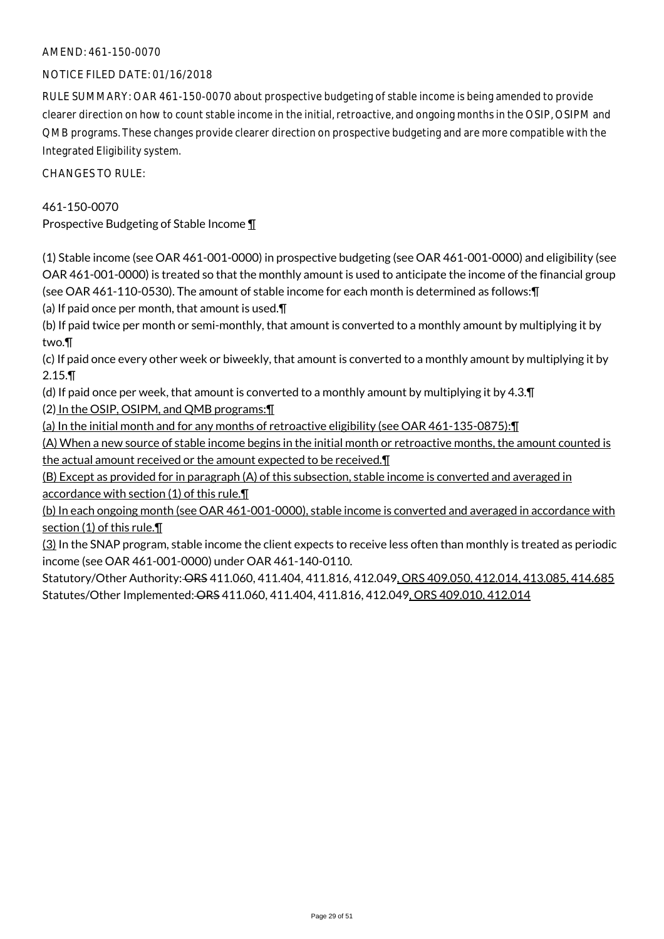#### NOTICE FILED DATE: 01/16/2018

RULE SUMMARY: OAR 461-150-0070 about prospective budgeting of stable income is being amended to provide clearer direction on how to count stable income in the initial, retroactive, and ongoing months in the OSIP, OSIPM and QMB programs. These changes provide clearer direction on prospective budgeting and are more compatible with the Integrated Eligibility system.

CHANGES TO RULE:

#### 461-150-0070

Prospective Budgeting of Stable Income ¶

(1) Stable income (see OAR 461-001-0000) in prospective budgeting (see OAR 461-001-0000) and eligibility (see OAR 461-001-0000) is treated so that the monthly amount is used to anticipate the income of the financial group (see OAR 461-110-0530). The amount of stable income for each month is determined as follows:¶

(a) If paid once per month, that amount is used.¶

(b) If paid twice per month or semi-monthly, that amount is converted to a monthly amount by multiplying it by two.¶

(c) If paid once every other week or biweekly, that amount is converted to a monthly amount by multiplying it by 2.15.¶

(d) If paid once per week, that amount is converted to a monthly amount by multiplying it by 4.3.¶ (2) In the OSIP, OSIPM, and QMB programs:¶

(a) In the initial month and for any months of retroactive eligibility (see OAR 461-135-0875):¶

(A) When a new source of stable income begins in the initial month or retroactive months, the amount counted is the actual amount received or the amount expected to be received.¶

(B) Except as provided for in paragraph (A) of this subsection, stable income is converted and averaged in accordance with section (1) of this rule.¶

(b) In each ongoing month (see OAR 461-001-0000), stable income is converted and averaged in accordance with section (1) of this rule.

(3) In the SNAP program, stable income the client expects to receive less often than monthly is treated as periodic income (see OAR 461-001-0000) under OAR 461-140-0110.

Statutory/Other Authority: ORS 411.060, 411.404, 411.816, 412.049, ORS 409.050, 412.014, 413.085, 414.685 Statutes/Other Implemented: ORS 411.060, 411.404, 411.816, 412.049, ORS 409.010, 412.014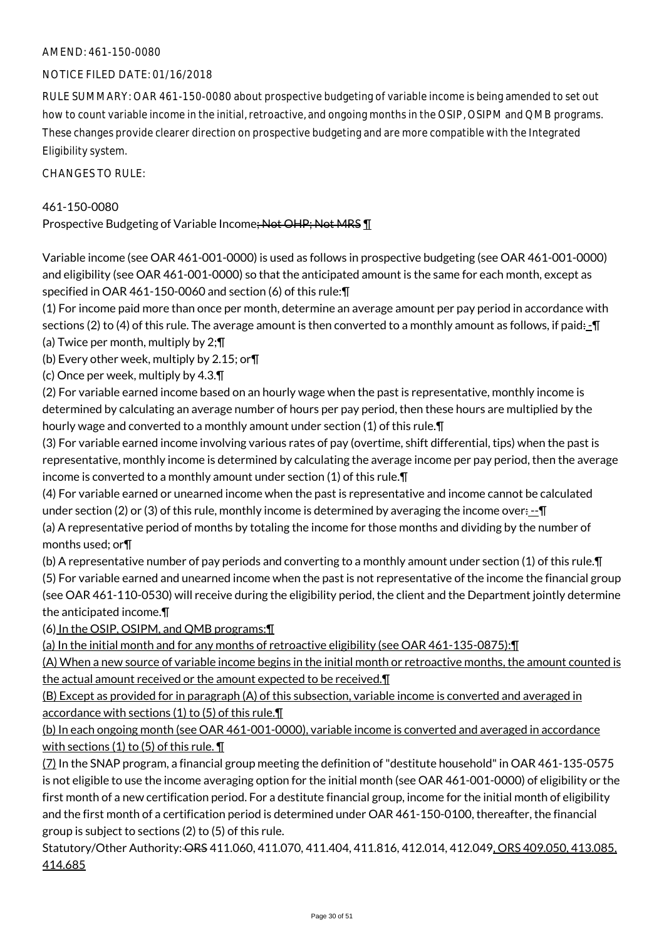#### NOTICE FILED DATE: 01/16/2018

RULE SUMMARY: OAR 461-150-0080 about prospective budgeting of variable income is being amended to set out how to count variable income in the initial, retroactive, and ongoing months in the OSIP, OSIPM and QMB programs. These changes provide clearer direction on prospective budgeting and are more compatible with the Integrated Eligibility system.

CHANGES TO RULE:

#### 461-150-0080

Prospective Budgeting of Variable Income; Not OHP; Not MRS ¶

Variable income (see OAR 461-001-0000) is used as follows in prospective budgeting (see OAR 461-001-0000) and eligibility (see OAR 461-001-0000) so that the anticipated amount is the same for each month, except as specified in OAR 461-150-0060 and section (6) of this rule:¶

(1) For income paid more than once per month, determine an average amount per pay period in accordance with sections (2) to (4) of this rule. The average amount is then converted to a monthly amount as follows, if paid $\pm$ 

(a) Twice per month, multiply by 2;¶

(b) Every other week, multiply by 2.15; or¶

(c) Once per week, multiply by 4.3.¶

(2) For variable earned income based on an hourly wage when the past is representative, monthly income is determined by calculating an average number of hours per pay period, then these hours are multiplied by the hourly wage and converted to a monthly amount under section (1) of this rule.¶

(3) For variable earned income involving various rates of pay (overtime, shift differential, tips) when the past is representative, monthly income is determined by calculating the average income per pay period, then the average income is converted to a monthly amount under section (1) of this rule.¶

(4) For variable earned or unearned income when the past is representative and income cannot be calculated under section (2) or (3) of this rule, monthly income is determined by averaging the income over: $\pm \mathbf{I}$ 

(a) A representative period of months by totaling the income for those months and dividing by the number of months used; or¶

(b) A representative number of pay periods and converting to a monthly amount under section (1) of this rule.¶ (5) For variable earned and unearned income when the past is not representative of the income the financial group (see OAR 461-110-0530) will receive during the eligibility period, the client and the Department jointly determine the anticipated income.¶

(6) In the OSIP, OSIPM, and QMB programs:¶

(a) In the initial month and for any months of retroactive eligibility (see OAR 461-135-0875):¶

(A) When a new source of variable income begins in the initial month or retroactive months, the amount counted is the actual amount received or the amount expected to be received.¶

(B) Except as provided for in paragraph (A) of this subsection, variable income is converted and averaged in accordance with sections (1) to (5) of this rule.

(b) In each ongoing month (see OAR 461-001-0000), variable income is converted and averaged in accordance with sections (1) to (5) of this rule.  $\P$ 

(7) In the SNAP program, a financial group meeting the definition of "destitute household" in OAR 461-135-0575 is not eligible to use the income averaging option for the initial month (see OAR 461-001-0000) of eligibility or the first month of a new certification period. For a destitute financial group, income for the initial month of eligibility and the first month of a certification period is determined under OAR 461-150-0100, thereafter, the financial group is subject to sections (2) to (5) of this rule.

Statutory/Other Authority: ORS 411.060, 411.070, 411.404, 411.816, 412.014, 412.049, ORS 409.050, 413.085, 414.685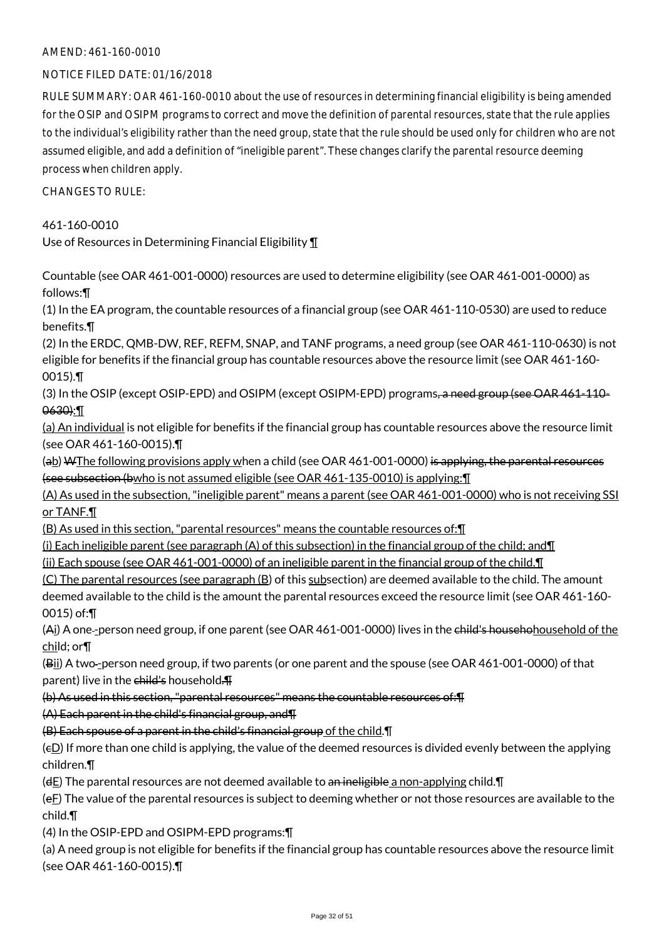#### NOTICE FILED DATE: 01/16/2018

RULE SUMMARY: OAR 461-160-0010 about the use of resources in determining financial eligibility is being amended for the OSIP and OSIPM programs to correct and move the definition of parental resources, state that the rule applies to the individual's eligibility rather than the need group, state that the rule should be used only for children who are not assumed eligible, and add a definition of "ineligible parent". These changes clarify the parental resource deeming process when children apply.

 $CHANGESTORUIF$ 

461-160-0010

Use of Resources in Determining Financial Eligibility ¶

Countable (see OAR 461-001-0000) resources are used to determine eligibility (see OAR 461-001-0000) as follows:¶

(1) In the EA program, the countable resources of a financial group (see OAR 461-110-0530) are used to reduce benefits.¶

(2) In the ERDC, QMB-DW, REF, REFM, SNAP, and TANF programs, a need group (see OAR 461-110-0630) is not eligible for benefits if the financial group has countable resources above the resource limit (see OAR 461-160- 0015).¶

(3) In the OSIP (except OSIP-EPD) and OSIPM (except OSIPM-EPD) programs, a need group (see OAR 461-110-0630):¶

(a) An individual is not eligible for benefits if the financial group has countable resources above the resource limit (see OAR 461-160-0015).¶

(ab) WThe following provisions apply when a child (see OAR 461-001-0000) is applying, the parental resources (see subsection (bwho is not assumed eligible (see OAR 461-135-0010) is applying:¶

(A) As used in the subsection, "ineligible parent" means a parent (see OAR 461-001-0000) who is not receiving SSI or TANF.¶

(B) As used in this section, "parental resources" means the countable resources of:¶

(i) Each ineligible parent (see paragraph  $(A)$  of this subsection) in the financial group of the child; and  $\P$ 

(ii) Each spouse (see OAR 461-001-0000) of an ineligible parent in the financial group of the child.¶

(C) The parental resources (see paragraph (B) of this subsection) are deemed available to the child. The amount deemed available to the child is the amount the parental resources exceed the resource limit (see OAR 461-160- 0015) of:¶

(Ai) A one-person need group, if one parent (see OAR 461-001-0000) lives in the child's househohousehold of the child; or¶

(Bii) A two-person need group, if two parents (or one parent and the spouse (see OAR 461-001-0000) of that parent) live in the child's household.

(b) As used in this section, "parental resources" means the countable resources of:¶

(A) Each parent in the child's financial group, and¶

(B) Each spouse of a parent in the child's financial group of the child.¶

 $(E)$  If more than one child is applying, the value of the deemed resources is divided evenly between the applying children.¶

 $(dE)$  The parental resources are not deemed available to an ineligible a non-applying child.  $\P$ 

 $(eE)$  The value of the parental resources is subject to deeming whether or not those resources are available to the child.¶

(4) In the OSIP-EPD and OSIPM-EPD programs:¶

(a) A need group is not eligible for benefits if the financial group has countable resources above the resource limit (see OAR 461-160-0015).¶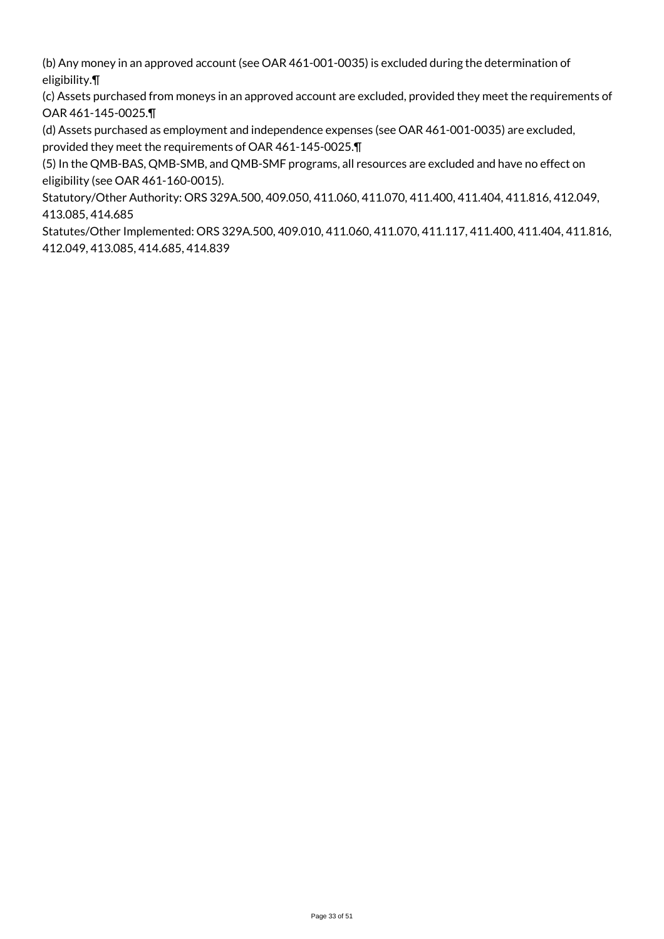(b) Any money in an approved account (see OAR 461-001-0035) is excluded during the determination of eligibility.¶

(c) Assets purchased from moneys in an approved account are excluded, provided they meet the requirements of OAR 461-145-0025.¶

(d) Assets purchased as employment and independence expenses (see OAR 461-001-0035) are excluded, provided they meet the requirements of OAR 461-145-0025.¶

(5) In the QMB-BAS, QMB-SMB, and QMB-SMF programs, all resources are excluded and have no effect on eligibility (see OAR 461-160-0015).

Statutory/Other Authority: ORS 329A.500, 409.050, 411.060, 411.070, 411.400, 411.404, 411.816, 412.049, 413.085, 414.685

Statutes/Other Implemented: ORS 329A.500, 409.010, 411.060, 411.070, 411.117, 411.400, 411.404, 411.816, 412.049, 413.085, 414.685, 414.839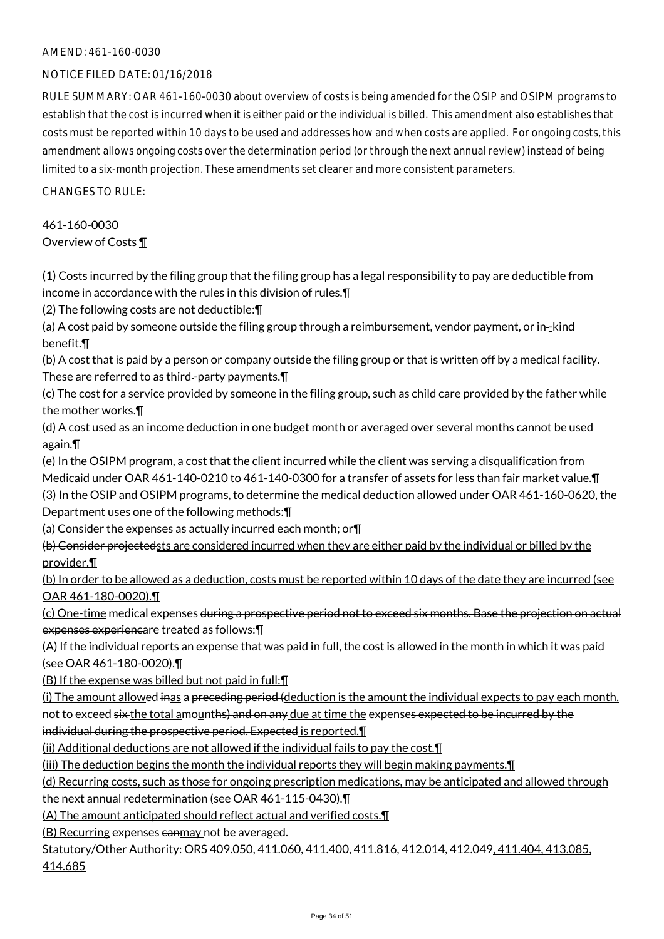#### NOTICE FILED DATE: 01/16/2018

RULE SUMMARY: OAR 461-160-0030 about overview of costs is being amended for the OSIP and OSIPM programs to establish that the cost is incurred when it is either paid or the individual is billed. This amendment also establishes that costs must be reported within 10 days to be used and addresses how and when costs are applied. For ongoing costs, this amendment allows ongoing costs over the determination period (or through the next annual review) instead of being limited to a six-month projection. These amendments set clearer and more consistent parameters.

 $CHANGESTORUIF$ 

461-160-0030 Overview of Costs ¶

(1) Costs incurred by the filing group that the filing group has a legal responsibility to pay are deductible from income in accordance with the rules in this division of rules.¶

(2) The following costs are not deductible:¶

(a) A cost paid by someone outside the filing group through a reimbursement, vendor payment, or in--kind benefit.¶

(b) A cost that is paid by a person or company outside the filing group or that is written off by a medical facility. These are referred to as third--party payments. $\P$ 

(c) The cost for a service provided by someone in the filing group, such as child care provided by the father while the mother works.¶

(d) A cost used as an income deduction in one budget month or averaged over several months cannot be used again.¶

(e) In the OSIPM program, a cost that the client incurred while the client was serving a disqualification from Medicaid under OAR 461-140-0210 to 461-140-0300 for a transfer of assets for less than fair market value.¶ (3) In the OSIP and OSIPM programs, to determine the medical deduction allowed under OAR 461-160-0620, the Department uses one of the following methods: \[

(a) Consider the expenses as actually incurred each month; or¶

(b) Consider projectedsts are considered incurred when they are either paid by the individual or billed by the provider.¶

(b) In order to be allowed as a deduction, costs must be reported within 10 days of the date they are incurred (see OAR 461-180-0020).¶

(c) One-time medical expenses during a prospective period not to exceed six months. Base the projection on actual expenses experiencare treated as follows:¶

(A) If the individual reports an expense that was paid in full, the cost is allowed in the month in which it was paid (see OAR 461-180-0020).¶

(B) If the expense was billed but not paid in full:¶

(i) The amount allowed inas a preceding period (deduction is the amount the individual expects to pay each month, not to exceed six the total amounths) and on any due at time the expenses expected to be incurred by the individual during the prospective period. Expected is reported.¶

(ii) Additional deductions are not allowed if the individual fails to pay the cost.¶

(iii) The deduction begins the month the individual reports they will begin making payments.¶

(d) Recurring costs, such as those for ongoing prescription medications, may be anticipated and allowed through

the next annual redetermination (see OAR 461-115-0430).¶

(A) The amount anticipated should reflect actual and verified costs.¶

(B) Recurring expenses canmay not be averaged.

Statutory/Other Authority: ORS 409.050, 411.060, 411.400, 411.816, 412.014, 412.049, 411.404, 413.085, 414.685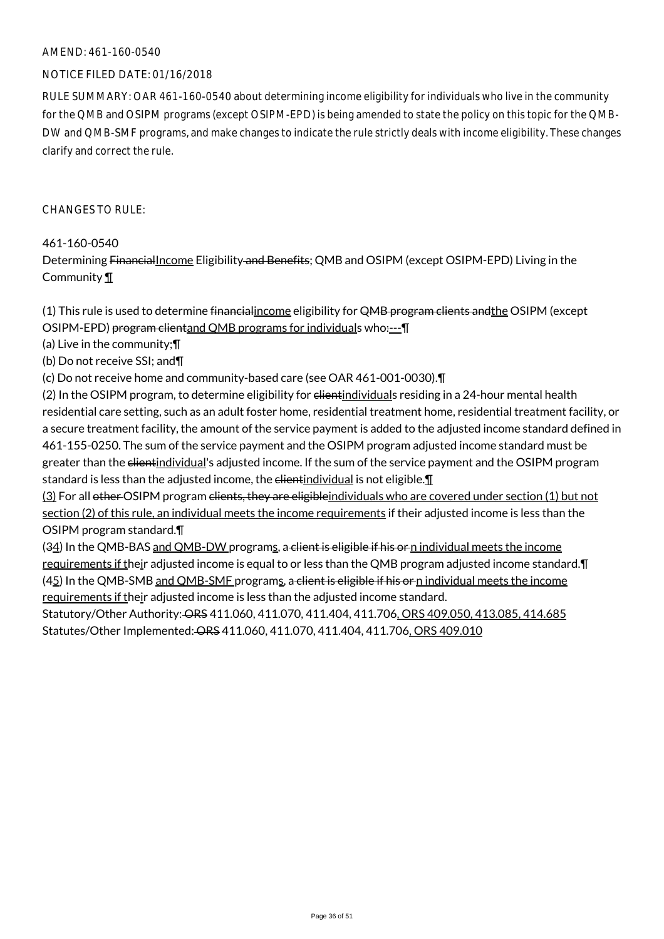#### NOTICE FILED DATE: 01/16/2018

RULE SUMMARY: OAR 461-160-0540 about determining income eligibility for individuals who live in the community for the QMB and OSIPM programs (except OSIPM-EPD) is being amended to state the policy on this topic for the QMB-DW and QMB-SMF programs, and make changes to indicate the rule strictly deals with income eligibility. These changes clarify and correct the rule.

CHANGES TO RULE:

461-160-0540

Determining FinancialIncome Eligibility and Benefits; QMB and OSIPM (except OSIPM-EPD) Living in the Community ¶

(1) This rule is used to determine financial income eligibility for QMB program clients and the OSIPM (except OSIPM-EPD) program clientand QMB programs for individuals who----

(a) Live in the community;¶

(b) Do not receive SSI; and¶

(c) Do not receive home and community-based care (see OAR 461-001-0030).¶

(2) In the OSIPM program, to determine eligibility for elientindividuals residing in a 24-hour mental health residential care setting, such as an adult foster home, residential treatment home, residential treatment facility, or a secure treatment facility, the amount of the service payment is added to the adjusted income standard defined in 461-155-0250. The sum of the service payment and the OSIPM program adjusted income standard must be greater than the elientindividual's adjusted income. If the sum of the service payment and the OSIPM program standard is less than the adjusted income, the  $e$  dientindividual is not eligible. $\P$ 

(3) For all other OSIPM program clients, they are eligibleindividuals who are covered under section (1) but not section (2) of this rule, an individual meets the income requirements if their adjusted income is less than the OSIPM program standard.¶

(34) In the QMB-BAS and QMB-DW programs, a client is eligible if his or n individual meets the income requirements if their adjusted income is equal to or less than the QMB program adjusted income standard.¶ (45) In the QMB-SMB and QMB-SMF programs, a client is eligible if his or n individual meets the income requirements if their adjusted income is less than the adjusted income standard.

Statutory/Other Authority: ORS 411.060, 411.070, 411.404, 411.706, ORS 409.050, 413.085, 414.685 Statutes/Other Implemented: ORS 411.060, 411.070, 411.404, 411.706, ORS 409.010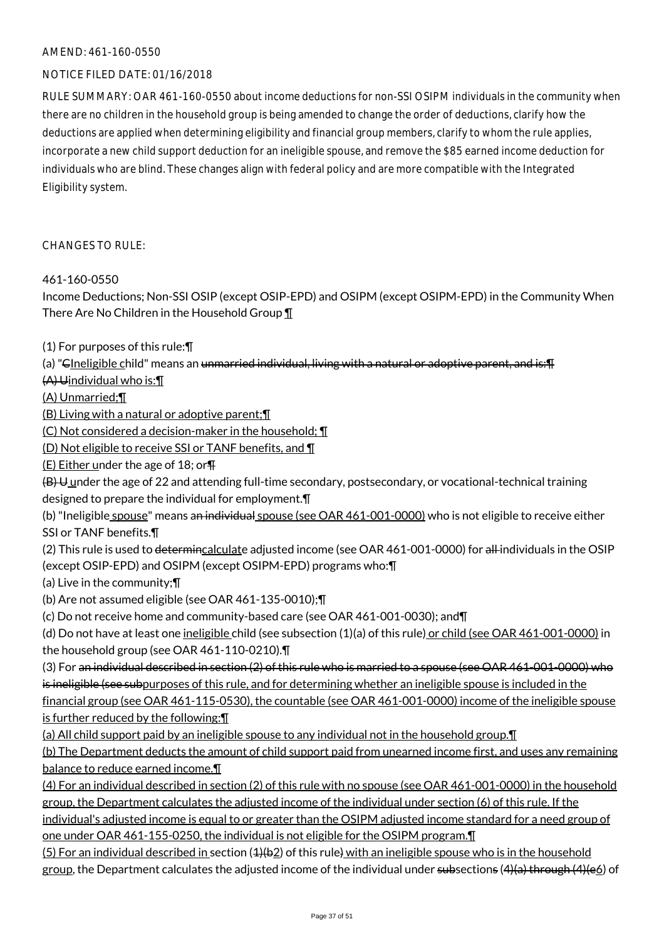#### NOTICE FILED DATE: 01/16/2018

RULE SUMMARY: OAR 461-160-0550 about income deductions for non-SSI OSIPM individuals in the community when there are no children in the household group is being amended to change the order of deductions, clarify how the deductions are applied when determining eligibility and financial group members, clarify to whom the rule applies, incorporate a new child support deduction for an ineligible spouse, and remove the \$85 earned income deduction for individuals who are blind. These changes align with federal policy and are more compatible with the Integrated Eligibility system.

#### CHANGES TO RULE:

#### 461-160-0550

Income Deductions; Non-SSI OSIP (except OSIP-EPD) and OSIPM (except OSIPM-EPD) in the Community When There Are No Children in the Household Group ¶

- (1) For purposes of this rule:¶
- (a) "CIneligible child" means an unmarried individual, living with a natural or adoptive parent, and is: [I]
- (A) Uindividual who is:¶

(A) Unmarried;¶

(B) Living with a natural or adoptive parent;¶

(C) Not considered a decision-maker in the household; ¶

(D) Not eligible to receive SSI or TANF benefits, and ¶

 $(E)$  Either under the age of 18; or  $\P$ 

 $(B)$  U under the age of 22 and attending full-time secondary, postsecondary, or vocational-technical training designed to prepare the individual for employment.¶

(b) "Ineligible spouse" means an individual spouse (see OAR 461-001-0000) who is not eligible to receive either SSI or TANF benefits.¶

(2) This rule is used to determincalculate adjusted income (see OAR 461-001-0000) for all individuals in the OSIP (except OSIP-EPD) and OSIPM (except OSIPM-EPD) programs who:¶

(a) Live in the community;¶

(b) Are not assumed eligible (see OAR 461-135-0010);¶

(c) Do not receive home and community-based care (see OAR 461-001-0030); and¶

```
(d) Do not have at least one ineligible child (see subsection (1)(a) of this rule) or child (see OAR 461-001-0000) in
the household group (see OAR 461-110-0210).¶
```
(3) For an individual described in section (2) of this rule who is married to a spouse (see OAR 461-001-0000) who is ineligible (see subpurposes of this rule, and for determining whether an ineligible spouse is included in the financial group (see OAR 461-115-0530), the countable (see OAR 461-001-0000) income of the ineligible spouse

is further reduced by the following:¶

(a) All child support paid by an ineligible spouse to any individual not in the household group.¶

(b) The Department deducts the amount of child support paid from unearned income first, and uses any remaining balance to reduce earned income.¶

(4) For an individual described in section (2) of this rule with no spouse (see OAR 461-001-0000) in the household group, the Department calculates the adjusted income of the individual under section (6) of this rule. If the individual's adjusted income is equal to or greater than the OSIPM adjusted income standard for a need group of

one under OAR 461-155-0250, the individual is not eligible for the OSIPM program.¶

(5) For an individual described in section (4)(b2) of this rule) with an ineligible spouse who is in the household group, the Department calculates the adjusted income of the individual under subsections  $(4)(a)$  through  $(4)(e_0)$  of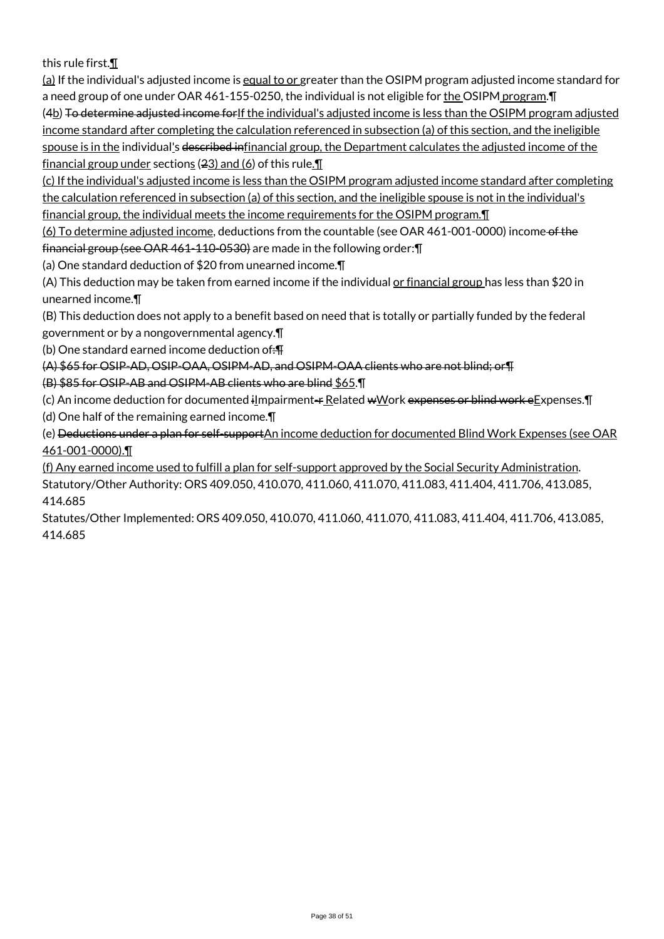this rule first.¶

(a) If the individual's adjusted income is equal to or greater than the OSIPM program adjusted income standard for a need group of one under OAR 461-155-0250, the individual is not eligible for the OSIPM program. T (4b) To determine adjusted income for If the individual's adjusted income is less than the OSIPM program adjusted income standard after completing the calculation referenced in subsection (a) of this section, and the ineligible spouse is in the individual's described infinancial group, the Department calculates the adjusted income of the financial group under sections (23) and (6) of this rule. $\P$ 

(c) If the individual's adjusted income is less than the OSIPM program adjusted income standard after completing the calculation referenced in subsection (a) of this section, and the ineligible spouse is not in the individual's financial group, the individual meets the income requirements for the OSIPM program.¶

(6) To determine adjusted income, deductions from the countable (see OAR 461-001-0000) income of the financial group (see OAR 461-110-0530) are made in the following order:¶

(a) One standard deduction of \$20 from unearned income.¶

(A) This deduction may be taken from earned income if the individual or financial group has less than \$20 in unearned income.¶

(B) This deduction does not apply to a benefit based on need that is totally or partially funded by the federal government or by a nongovernmental agency.¶

(b) One standard earned income deduction of: $\mathbf{F}$ 

(A) \$65 for OSIP-AD, OSIP-OAA, OSIPM-AD, and OSIPM-OAA clients who are not blind; or¶

(B) \$85 for OSIP-AB and OSIPM-AB clients who are blind \$65.¶

(c) An income deduction for documented ilmpairment-r Related wWork expenses or blind work eExpenses. I

(d) One half of the remaining earned income.¶

(e) Deductions under a plan for self-supportAn income deduction for documented Blind Work Expenses (see OAR 461-001-0000).¶

(f) Any earned income used to fulfill a plan for self-support approved by the Social Security Administration. Statutory/Other Authority: ORS 409.050, 410.070, 411.060, 411.070, 411.083, 411.404, 411.706, 413.085, 414.685

Statutes/Other Implemented: ORS 409.050, 410.070, 411.060, 411.070, 411.083, 411.404, 411.706, 413.085, 414.685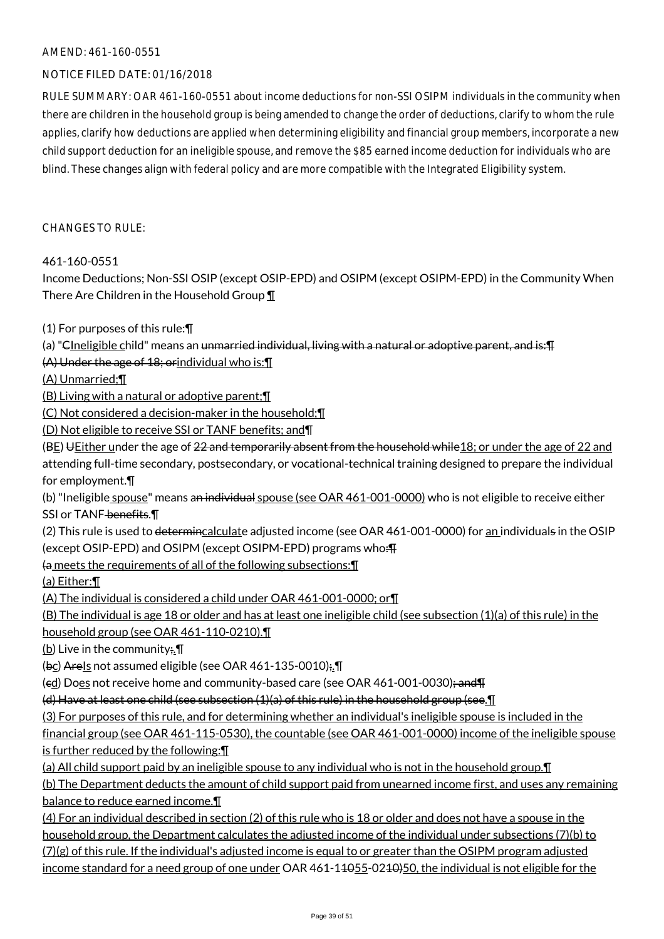#### NOTICE FILED DATE: 01/16/2018

RULE SUMMARY: OAR 461-160-0551 about income deductions for non-SSI OSIPM individuals in the community when there are children in the household group is being amended to change the order of deductions, clarify to whom the rule applies, clarify how deductions are applied when determining eligibility and financial group members, incorporate a new child support deduction for an ineligible spouse, and remove the \$85 earned income deduction for individuals who are blind. These changes align with federal policy and are more compatible with the Integrated Eligibility system.

#### CHANGES TO RULE:

#### 461-160-0551

Income Deductions; Non-SSI OSIP (except OSIP-EPD) and OSIPM (except OSIPM-EPD) in the Community When There Are Children in the Household Group ¶

(1) For purposes of this rule:¶

(a) "CIneligible child" means an unmarried individual, living with a natural or adoptive parent, and is:¶

(A) Under the age of 18; orindividual who is:¶

(A) Unmarried;¶

(B) Living with a natural or adoptive parent;¶

(C) Not considered a decision-maker in the household;¶

(D) Not eligible to receive SSI or TANF benefits; and¶

(BE) UEither under the age of 22 and temporarily absent from the household while 18; or under the age of 22 and

attending full-time secondary, postsecondary, or vocational-technical training designed to prepare the individual for employment.¶

(b) "Ineligible spouse" means an individual spouse (see OAR 461-001-0000) who is not eligible to receive either SSI or TANF benefits. \[

(2) This rule is used to determincalculate adjusted income (see OAR 461-001-0000) for an individuals in the OSIP (except OSIP-EPD) and OSIPM (except OSIPM-EPD) programs who:¶

(a meets the requirements of all of the following subsections:¶

(a) Either:¶

(A) The individual is considered a child under OAR 461-001-0000; or¶

(B) The individual is age 18 or older and has at least one ineligible child (see subsection (1)(a) of this rule) in the household group (see OAR 461-110-0210).¶

(b) Live in the community;  $\P$ 

(bc) AreIs not assumed eligible (see OAR 461-135-0010);.¶

(ed) Does not receive home and community-based care (see OAR 461-001-0030); and T

(d) Have at least one child (see subsection  $(1)(a)$  of this rule) in the household group (see.  $\P$ 

(3) For purposes of this rule, and for determining whether an individual's ineligible spouse is included in the

financial group (see OAR 461-115-0530), the countable (see OAR 461-001-0000) income of the ineligible spouse is further reduced by the following:¶

(a) All child support paid by an ineligible spouse to any individual who is not in the household group.¶

(b) The Department deducts the amount of child support paid from unearned income first, and uses any remaining balance to reduce earned income.¶

(4) For an individual described in section (2) of this rule who is 18 or older and does not have a spouse in the household group, the Department calculates the adjusted income of the individual under subsections (7)(b) to  $(7)(g)$  of this rule. If the individual's adjusted income is equal to or greater than the OSIPM program adjusted income standard for a need group of one under OAR 461-14055-0240)50, the individual is not eligible for the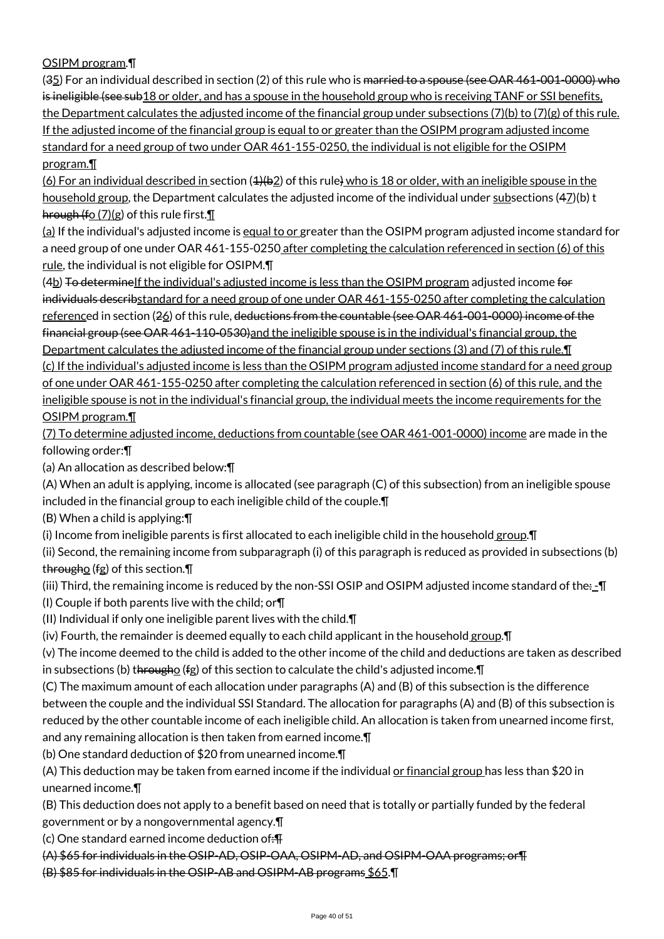### OSIPM program.¶

(35) For an individual described in section (2) of this rule who is married to a spouse (see OAR 461-001-0000) who is ineligible (see sub18 or older, and has a spouse in the household group who is receiving TANF or SSI benefits, the Department calculates the adjusted income of the financial group under subsections (7)(b) to (7)(g) of this rule. If the adjusted income of the financial group is equal to or greater than the OSIPM program adjusted income standard for a need group of two under OAR 461-155-0250, the individual is not eligible for the OSIPM program.¶

(6) For an individual described in section  $(4)(62)$  of this rule) who is 18 or older, with an ineligible spouse in the household group, the Department calculates the adjusted income of the individual under subsections (47)(b) t hrough (fo  $(7)(g)$  of this rule first. $\mathbb{I}$ 

(a) If the individual's adjusted income is equal to or greater than the OSIPM program adjusted income standard for a need group of one under OAR 461-155-0250 after completing the calculation referenced in section (6) of this rule, the individual is not eligible for OSIPM.¶

(4b) To determinelf the individual's adjusted income is less than the OSIPM program adjusted income for individuals describstandard for a need group of one under OAR 461-155-0250 after completing the calculation referenced in section (26) of this rule, deductions from the countable (see OAR 461-001-0000) income of the financial group (see OAR 461-110-0530) and the ineligible spouse is in the individual's financial group, the Department calculates the adjusted income of the financial group under sections (3) and (7) of this rule.¶ (c) If the individual's adjusted income is less than the OSIPM program adjusted income standard for a need group of one under OAR 461-155-0250 after completing the calculation referenced in section (6) of this rule, and the ineligible spouse is not in the individual's financial group, the individual meets the income requirements for the

#### OSIPM program.¶

(7) To determine adjusted income, deductions from countable (see OAR 461-001-0000) income are made in the following order:¶

(a) An allocation as described below:¶

(A) When an adult is applying, income is allocated (see paragraph (C) of this subsection) from an ineligible spouse included in the financial group to each ineligible child of the couple.¶

(B) When a child is applying:¶

(i) Income from ineligible parents is first allocated to each ineligible child in the household group. I

(ii) Second, the remaining income from subparagraph (i) of this paragraph is reduced as provided in subsections (b) througho (fg) of this section.¶

(iii) Third, the remaining income is reduced by the non-SSI OSIP and OSIPM adjusted income standard of the $\cdot$ - $\Pi$ (I) Couple if both parents live with the child; or¶

(II) Individual if only one ineligible parent lives with the child.¶

(iv) Fourth, the remainder is deemed equally to each child applicant in the household  $\frac{group.$ 

(v) The income deemed to the child is added to the other income of the child and deductions are taken as described in subsections (b) througho (fg) of this section to calculate the child's adjusted income. $\P$ 

(C) The maximum amount of each allocation under paragraphs (A) and (B) of this subsection is the difference between the couple and the individual SSI Standard. The allocation for paragraphs (A) and (B) of this subsection is reduced by the other countable income of each ineligible child. An allocation is taken from unearned income first, and any remaining allocation is then taken from earned income.¶

(b) One standard deduction of \$20 from unearned income.¶

(A) This deduction may be taken from earned income if the individual or financial group has less than \$20 in unearned income.¶

(B) This deduction does not apply to a benefit based on need that is totally or partially funded by the federal

government or by a nongovernmental agency.¶

(c) One standard earned income deduction of:¶

(A) \$65 for individuals in the OSIP-AD, OSIP-OAA, OSIPM-AD, and OSIPM-OAA programs; or¶

(B) \$85 for individuals in the OSIP-AB and OSIPM-AB programs \$65.¶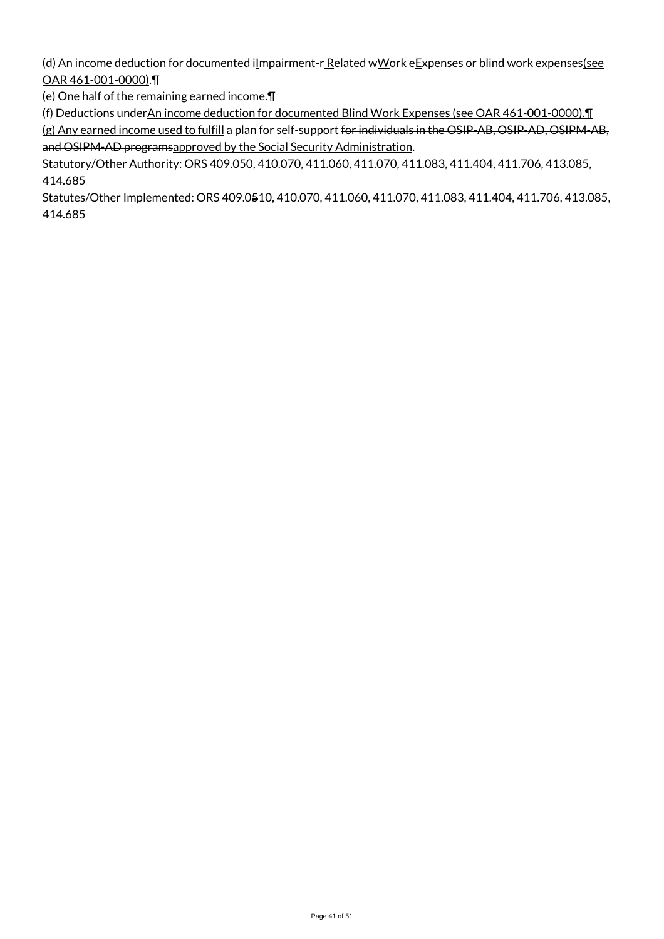(d) An income deduction for documented  $i$ *Impairment-* $r$  Related  $w$ *W*ork e*Expenses or blind work expenses(see* OAR 461-001-0000).¶

(e) One half of the remaining earned income.¶

(f) Deductions underAn income deduction for documented Blind Work Expenses (see OAR 461-001-0000).¶

(g) Any earned income used to fulfill a plan for self-support for individuals in the OSIP-AB, OSIP-AD, OSIPM-AB, and OSIPM-AD programsapproved by the Social Security Administration.

Statutory/Other Authority: ORS 409.050, 410.070, 411.060, 411.070, 411.083, 411.404, 411.706, 413.085, 414.685

Statutes/Other Implemented: ORS 409.0510, 410.070, 411.060, 411.070, 411.083, 411.404, 411.706, 413.085, 414.685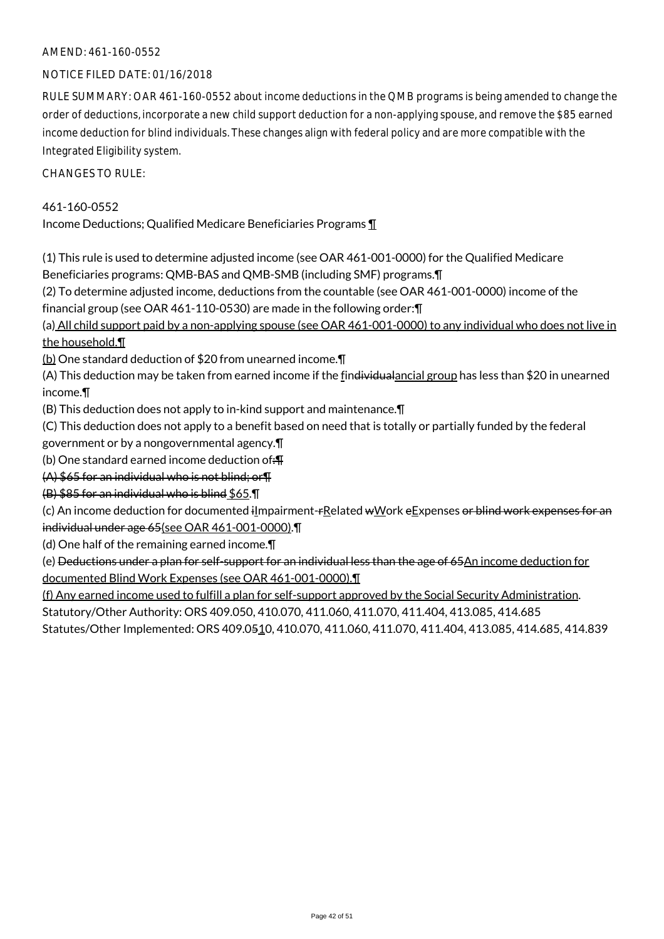#### NOTICE FILED DATE: 01/16/2018

RULE SUMMARY: OAR 461-160-0552 about income deductions in the QMB programs is being amended to change the order of deductions, incorporate a new child support deduction for a non-applying spouse, and remove the \$85 earned income deduction for blind individuals. These changes align with federal policy and are more compatible with the Integrated Eligibility system.

CHANGES TO RULE:

#### 461-160-0552

Income Deductions; Qualified Medicare Beneficiaries Programs ¶

(1) This rule is used to determine adjusted income (see OAR 461-001-0000) for the Qualified Medicare Beneficiaries programs: QMB-BAS and QMB-SMB (including SMF) programs.¶

(2) To determine adjusted income, deductions from the countable (see OAR 461-001-0000) income of the financial group (see OAR 461-110-0530) are made in the following order:¶

(a) All child support paid by a non-applying spouse (see OAR 461-001-0000) to any individual who does not live in the household.¶

(b) One standard deduction of \$20 from unearned income.¶

(A) This deduction may be taken from earned income if the findividualancial group has less than \$20 in unearned income.¶

(B) This deduction does not apply to in-kind support and maintenance.¶

(C) This deduction does not apply to a benefit based on need that is totally or partially funded by the federal

government or by a nongovernmental agency.¶

(b) One standard earned income deduction of:  $\text{F}$ 

(A) \$65 for an individual who is not blind; or¶

(B) \$85 for an individual who is blind \$65.¶

(c) An income deduction for documented ilmpairment-rRelated wWork eExpenses or blind work expenses for an individual under age 65(see OAR 461-001-0000).¶

(d) One half of the remaining earned income.¶

(e) Deductions under a plan for self-support for an individual less than the age of 65An income deduction for documented Blind Work Expenses (see OAR 461-001-0000).¶

(f) Any earned income used to fulfill a plan for self-support approved by the Social Security Administration. Statutory/Other Authority: ORS 409.050, 410.070, 411.060, 411.070, 411.404, 413.085, 414.685 Statutes/Other Implemented: ORS 409.0510, 410.070, 411.060, 411.070, 411.404, 413.085, 414.685, 414.839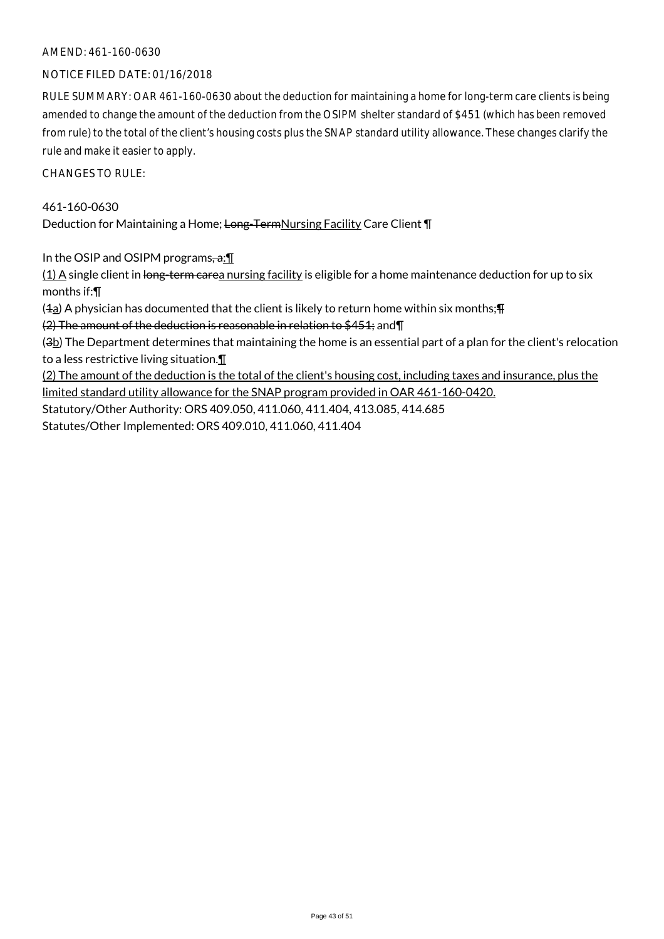#### NOTICE FILED DATE: 01/16/2018

RULE SUMMARY: OAR 461-160-0630 about the deduction for maintaining a home for long-term care clients is being amended to change the amount of the deduction from the OSIPM shelter standard of \$451 (which has been removed from rule) to the total of the client's housing costs plus the SNAP standard utility allowance. These changes clarify the rule and make it easier to apply.

CHANGES TO RULE:

### 461-160-0630

Deduction for Maintaining a Home; Long-TermNursing Facility Care Client \[

In the OSIP and OSIPM programs,  $a: \mathbb{T}$ 

 $(1)$  A single client in long-term carea nursing facility is eligible for a home maintenance deduction for up to six months if:¶

 $(4a)$  A physician has documented that the client is likely to return home within six months;  $\text{F}$ 

(2) The amount of the deduction is reasonable in relation to \$451; and¶

(3b) The Department determines that maintaining the home is an essential part of a plan for the client's relocation to a less restrictive living situation.¶

(2) The amount of the deduction is the total of the client's housing cost, including taxes and insurance, plus the

limited standard utility allowance for the SNAP program provided in OAR 461-160-0420.

Statutory/Other Authority: ORS 409.050, 411.060, 411.404, 413.085, 414.685

Statutes/Other Implemented: ORS 409.010, 411.060, 411.404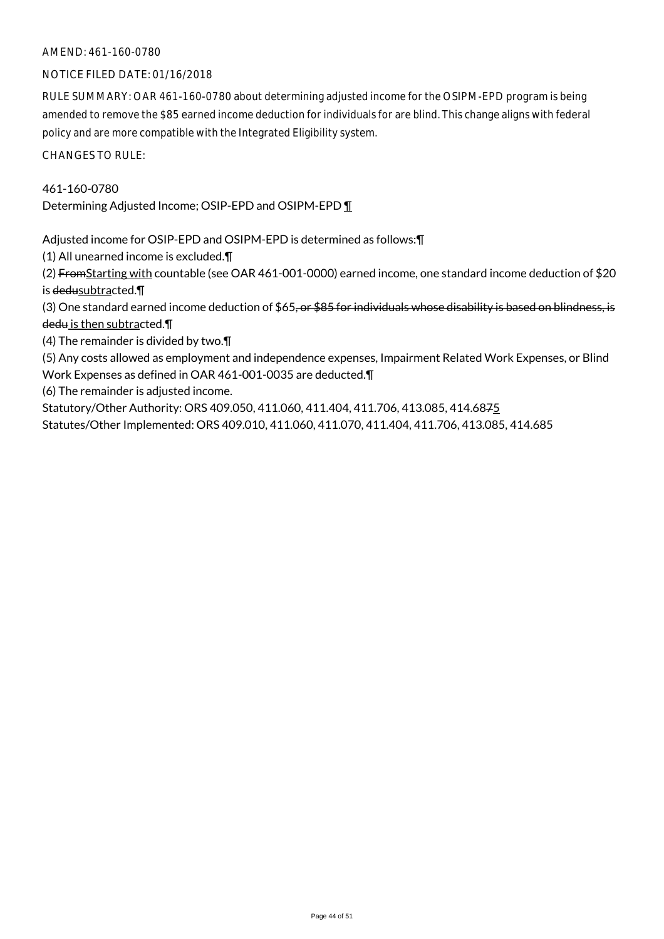#### NOTICE FILED DATE: 01/16/2018

RULE SUMMARY: OAR 461-160-0780 about determining adjusted income for the OSIPM-EPD program is being amended to remove the \$85 earned income deduction for individuals for are blind. This change aligns with federal policy and are more compatible with the Integrated Eligibility system.

CHANGES TO RULE:

### 461-160-0780

Determining Adjusted Income; OSIP-EPD and OSIPM-EPD ¶

Adjusted income for OSIP-EPD and OSIPM-EPD is determined as follows:¶

(1) All unearned income is excluded.¶

(2) FromStarting with countable (see OAR 461-001-0000) earned income, one standard income deduction of \$20 is dedusubtracted.¶

(3) One standard earned income deduction of  $$65, or $85$  for individuals whose disability is based on blindness, is dedu is then subtracted.¶

(4) The remainder is divided by two.¶

(5) Any costs allowed as employment and independence expenses, Impairment Related Work Expenses, or Blind Work Expenses as defined in OAR 461-001-0035 are deducted.¶

(6) The remainder is adjusted income.

Statutory/Other Authority: ORS 409.050, 411.060, 411.404, 411.706, 413.085, 414.6875

Statutes/Other Implemented: ORS 409.010, 411.060, 411.070, 411.404, 411.706, 413.085, 414.685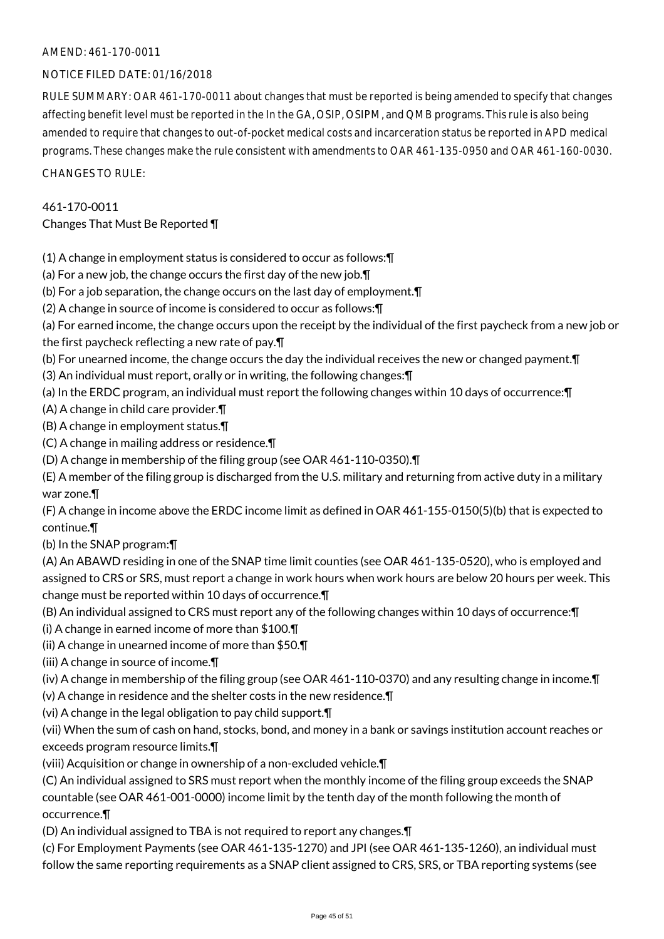#### NOTICE FILED DATE: 01/16/2018

RULE SUMMARY: OAR 461-170-0011 about changes that must be reported is being amended to specify that changes affecting benefit level must be reported in the In the GA, OSIP, OSIPM, and QMB programs. This rule is also being amended to require that changes to out-of-pocket medical costs and incarceration status be reported in APD medical programs. These changes make the rule consistent with amendments to OAR 461-135-0950 and OAR 461-160-0030. CHANGES TO RULE:

## 461-170-0011

### Changes That Must Be Reported ¶

- (1) A change in employment status is considered to occur as follows:¶
- (a) For a new job, the change occurs the first day of the new job.¶
- (b) For a job separation, the change occurs on the last day of employment.¶
- (2) A change in source of income is considered to occur as follows:¶
- (a) For earned income, the change occurs upon the receipt by the individual of the first paycheck from a new job or the first paycheck reflecting a new rate of pay.¶
- (b) For unearned income, the change occurs the day the individual receives the new or changed payment.¶
- (3) An individual must report, orally or in writing, the following changes:¶
- (a) In the ERDC program, an individual must report the following changes within 10 days of occurrence:¶
- (A) A change in child care provider.¶
- (B) A change in employment status.¶
- (C) A change in mailing address or residence.¶
- (D) A change in membership of the filing group (see OAR 461-110-0350).¶
- (E) A member of the filing group is discharged from the U.S. military and returning from active duty in a military war zone.¶
- (F) A change in income above the ERDC income limit as defined in OAR 461-155-0150(5)(b) that is expected to continue.¶
- (b) In the SNAP program:¶
- (A) An ABAWD residing in one of the SNAP time limit counties (see OAR 461-135-0520), who is employed and assigned to CRS or SRS, must report a change in work hours when work hours are below 20 hours per week. This change must be reported within 10 days of occurrence.¶
- (B) An individual assigned to CRS must report any of the following changes within 10 days of occurrence:¶
- (i) A change in earned income of more than \$100.¶
- (ii) A change in unearned income of more than \$50.¶
- (iii) A change in source of income.¶
- (iv) A change in membership of the filing group (see OAR 461-110-0370) and any resulting change in income.¶
- (v) A change in residence and the shelter costs in the new residence.¶
- (vi) A change in the legal obligation to pay child support.¶
- (vii) When the sum of cash on hand, stocks, bond, and money in a bank or savings institution account reaches or exceeds program resource limits.¶
- (viii) Acquisition or change in ownership of a non-excluded vehicle.¶
- (C) An individual assigned to SRS must report when the monthly income of the filing group exceeds the SNAP countable (see OAR 461-001-0000) income limit by the tenth day of the month following the month of occurrence.¶
- (D) An individual assigned to TBA is not required to report any changes.¶
- (c) For Employment Payments (see OAR 461-135-1270) and JPI (see OAR 461-135-1260), an individual must follow the same reporting requirements as a SNAP client assigned to CRS, SRS, or TBA reporting systems (see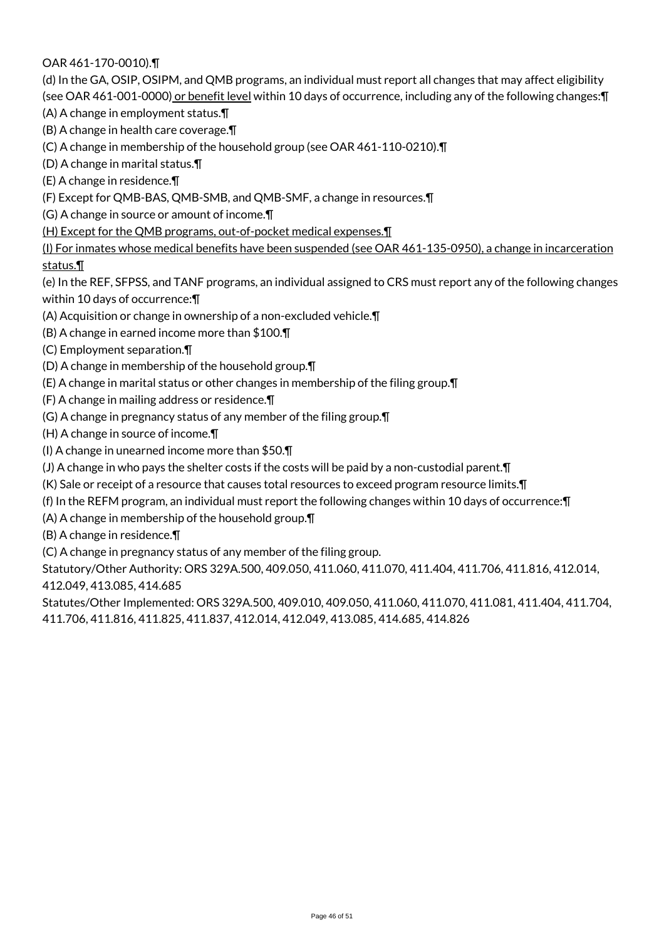### OAR 461-170-0010).¶

(d) In the GA, OSIP, OSIPM, and QMB programs, an individual must report all changes that may affect eligibility (see OAR 461-001-0000) or benefit level within 10 days of occurrence, including any of the following changes: [

(A) A change in employment status.¶

(B) A change in health care coverage.¶

(C) A change in membership of the household group (see OAR 461-110-0210).¶

(D) A change in marital status.¶

(E) A change in residence.¶

(F) Except for QMB-BAS, QMB-SMB, and QMB-SMF, a change in resources.¶

(G) A change in source or amount of income.¶

(H) Except for the QMB programs, out-of-pocket medical expenses.¶

(I) For inmates whose medical benefits have been suspended (see OAR 461-135-0950), a change in incarceration status.¶

(e) In the REF, SFPSS, and TANF programs, an individual assigned to CRS must report any of the following changes within 10 days of occurrence:¶

(A) Acquisition or change in ownership of a non-excluded vehicle.¶

(B) A change in earned income more than \$100.¶

(C) Employment separation.¶

(D) A change in membership of the household group.¶

(E) A change in marital status or other changes in membership of the filing group.¶

(F) A change in mailing address or residence.¶

(G) A change in pregnancy status of any member of the filing group.¶

(H) A change in source of income.¶

(I) A change in unearned income more than \$50.¶

(J) A change in who pays the shelter costs if the costs will be paid by a non-custodial parent.¶

(K) Sale or receipt of a resource that causes total resources to exceed program resource limits.¶

(f) In the REFM program, an individual must report the following changes within 10 days of occurrence:¶

(A) A change in membership of the household group.¶

(B) A change in residence.¶

(C) A change in pregnancy status of any member of the filing group.

Statutory/Other Authority: ORS 329A.500, 409.050, 411.060, 411.070, 411.404, 411.706, 411.816, 412.014, 412.049, 413.085, 414.685

Statutes/Other Implemented: ORS 329A.500, 409.010, 409.050, 411.060, 411.070, 411.081, 411.404, 411.704, 411.706, 411.816, 411.825, 411.837, 412.014, 412.049, 413.085, 414.685, 414.826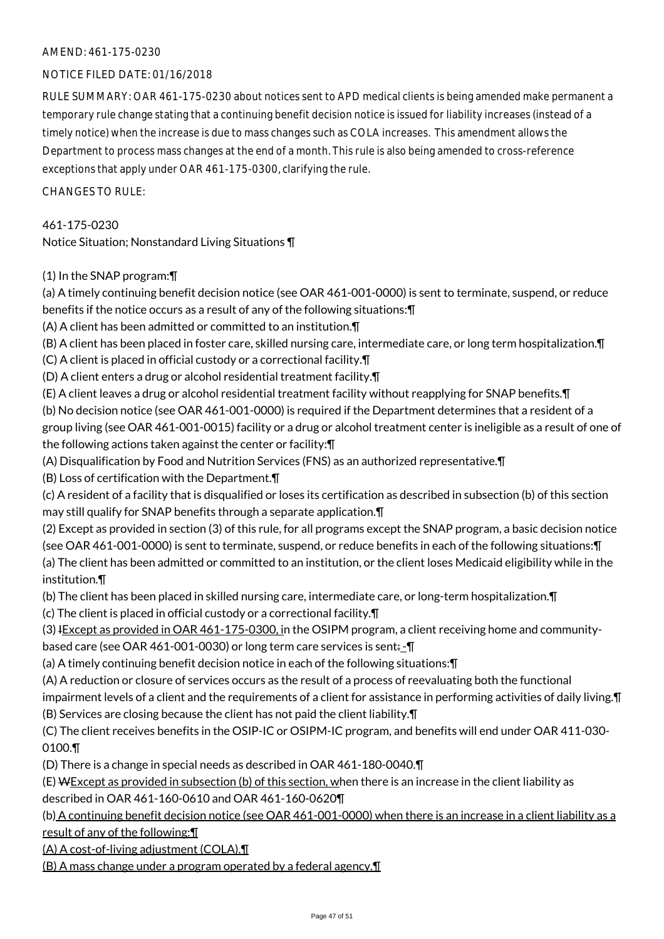#### NOTICE FILED DATE: 01/16/2018

RULE SUMMARY: OAR 461-175-0230 about notices sent to APD medical clients is being amended make permanent a temporary rule change stating that a continuing benefit decision notice is issued for liability increases (instead of a timely notice) when the increase is due to mass changes such as COLA increases. This amendment allows the Department to process mass changes at the end of a month. This rule is also being amended to cross-reference exceptions that apply under OAR 461-175-0300, clarifying the rule.

 $CHANGFS TO RIIF$ 

461-175-0230

Notice Situation; Nonstandard Living Situations ¶

#### (1) In the SNAP program:¶

(a) A timely continuing benefit decision notice (see OAR 461-001-0000) is sent to terminate, suspend, or reduce benefits if the notice occurs as a result of any of the following situations:¶

(A) A client has been admitted or committed to an institution.¶

(B) A client has been placed in foster care, skilled nursing care, intermediate care, or long term hospitalization.¶

(C) A client is placed in official custody or a correctional facility.¶

(D) A client enters a drug or alcohol residential treatment facility.¶

(E) A client leaves a drug or alcohol residential treatment facility without reapplying for SNAP benefits.¶

(b) No decision notice (see OAR 461-001-0000) is required if the Department determines that a resident of a group living (see OAR 461-001-0015) facility or a drug or alcohol treatment center is ineligible as a result of one of the following actions taken against the center or facility:¶

(A) Disqualification by Food and Nutrition Services (FNS) as an authorized representative.¶

(B) Loss of certification with the Department.¶

(c) A resident of a facility that is disqualified or loses its certification as described in subsection (b) of this section may still qualify for SNAP benefits through a separate application.¶

(2) Except as provided in section (3) of this rule, for all programs except the SNAP program, a basic decision notice (see OAR 461-001-0000) is sent to terminate, suspend, or reduce benefits in each of the following situations:¶ (a) The client has been admitted or committed to an institution, or the client loses Medicaid eligibility while in the institution.¶

(b) The client has been placed in skilled nursing care, intermediate care, or long-term hospitalization.¶

(c) The client is placed in official custody or a correctional facility.¶

(3) IExcept as provided in OAR 461-175-0300, in the OSIPM program, a client receiving home and communitybased care (see OAR 461-001-0030) or long term care services is sent:-

(a) A timely continuing benefit decision notice in each of the following situations:¶

(A) A reduction or closure of services occurs as the result of a process of reevaluating both the functional

impairment levels of a client and the requirements of a client for assistance in performing activities of daily living.¶ (B) Services are closing because the client has not paid the client liability.¶

(C) The client receives benefits in the OSIP-IC or OSIPM-IC program, and benefits will end under OAR 411-030- 0100.¶

(D) There is a change in special needs as described in OAR 461-180-0040.¶

(E) WExcept as provided in subsection (b) of this section, when there is an increase in the client liability as described in OAR 461-160-0610 and OAR 461-160-0620¶

(b) A continuing benefit decision notice (see OAR 461-001-0000) when there is an increase in a client liability as a result of any of the following:¶

(A) A cost-of-living adjustment (COLA).¶

(B) A mass change under a program operated by a federal agency.¶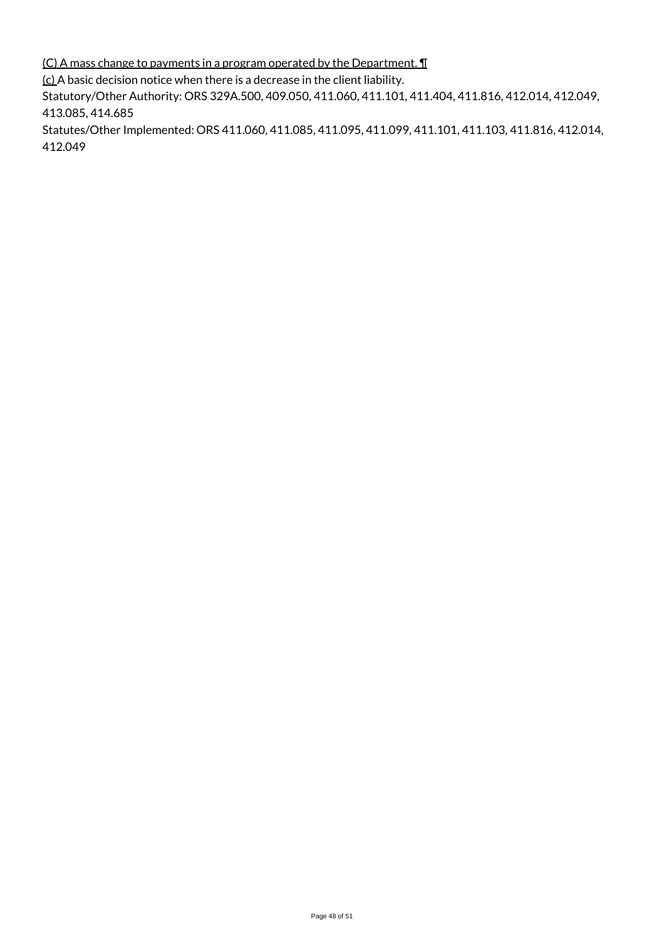(C) A mass change to payments in a program operated by the Department. ¶

(c) A basic decision notice when there is a decrease in the client liability.

Statutory/Other Authority: ORS 329A.500, 409.050, 411.060, 411.101, 411.404, 411.816, 412.014, 412.049, 413.085, 414.685

Statutes/Other Implemented: ORS 411.060, 411.085, 411.095, 411.099, 411.101, 411.103, 411.816, 412.014, 412.049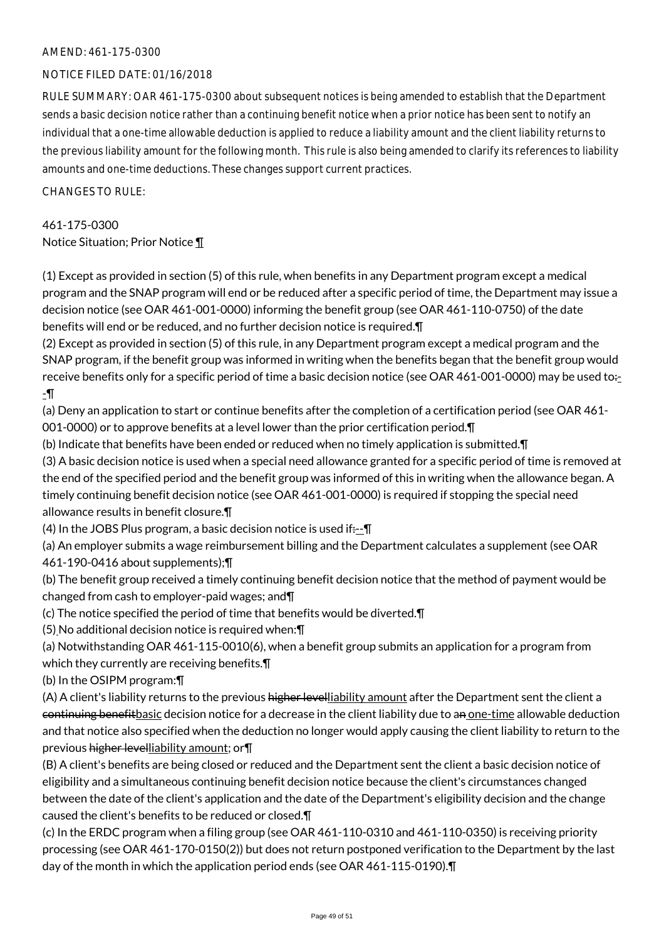#### NOTICE FILED DATE: 01/16/2018

RULE SUMMARY: OAR 461-175-0300 about subsequent notices is being amended to establish that the Department sends a basic decision notice rather than a continuing benefit notice when a prior notice has been sent to notify an individual that a one-time allowable deduction is applied to reduce a liability amount and the client liability returns to the previous liability amount for the following month. This rule is also being amended to clarify its references to liability amounts and one-time deductions. These changes support current practices.

CHANGES TO RULE:

### 461-175-0300 Notice Situation; Prior Notice ¶

(1) Except as provided in section (5) of this rule, when benefits in any Department program except a medical program and the SNAP program will end or be reduced after a specific period of time, the Department may issue a decision notice (see OAR 461-001-0000) informing the benefit group (see OAR 461-110-0750) of the date benefits will end or be reduced, and no further decision notice is required.¶

(2) Except as provided in section (5) of this rule, in any Department program except a medical program and the SNAP program, if the benefit group was informed in writing when the benefits began that the benefit group would receive benefits only for a specific period of time a basic decision notice (see OAR 461-001-0000) may be used to:--¶

(a) Deny an application to start or continue benefits after the completion of a certification period (see OAR 461- 001-0000) or to approve benefits at a level lower than the prior certification period.¶

(b) Indicate that benefits have been ended or reduced when no timely application is submitted.¶

(3) A basic decision notice is used when a special need allowance granted for a specific period of time is removed at the end of the specified period and the benefit group was informed of this in writing when the allowance began. A timely continuing benefit decision notice (see OAR 461-001-0000) is required if stopping the special need allowance results in benefit closure.¶

(4) In the JOBS Plus program, a basic decision notice is used if $:=\mathbb{T}$ 

(a) An employer submits a wage reimbursement billing and the Department calculates a supplement (see OAR 461-190-0416 about supplements);¶

(b) The benefit group received a timely continuing benefit decision notice that the method of payment would be changed from cash to employer-paid wages; and¶

(c) The notice specified the period of time that benefits would be diverted.¶

(5) No additional decision notice is required when:¶

(a) Notwithstanding OAR 461-115-0010(6), when a benefit group submits an application for a program from which they currently are receiving benefits.¶

(b) In the OSIPM program:¶

(A) A client's liability returns to the previous higher levelliability amount after the Department sent the client a continuing benefit basic decision notice for a decrease in the client liability due to an one-time allowable deduction and that notice also specified when the deduction no longer would apply causing the client liability to return to the previous higher levelliability amount; or

(B) A client's benefits are being closed or reduced and the Department sent the client a basic decision notice of eligibility and a simultaneous continuing benefit decision notice because the client's circumstances changed between the date of the client's application and the date of the Department's eligibility decision and the change caused the client's benefits to be reduced or closed.¶

(c) In the ERDC program when a filing group (see OAR 461-110-0310 and 461-110-0350) is receiving priority processing (see OAR 461-170-0150(2)) but does not return postponed verification to the Department by the last day of the month in which the application period ends (see OAR 461-115-0190).¶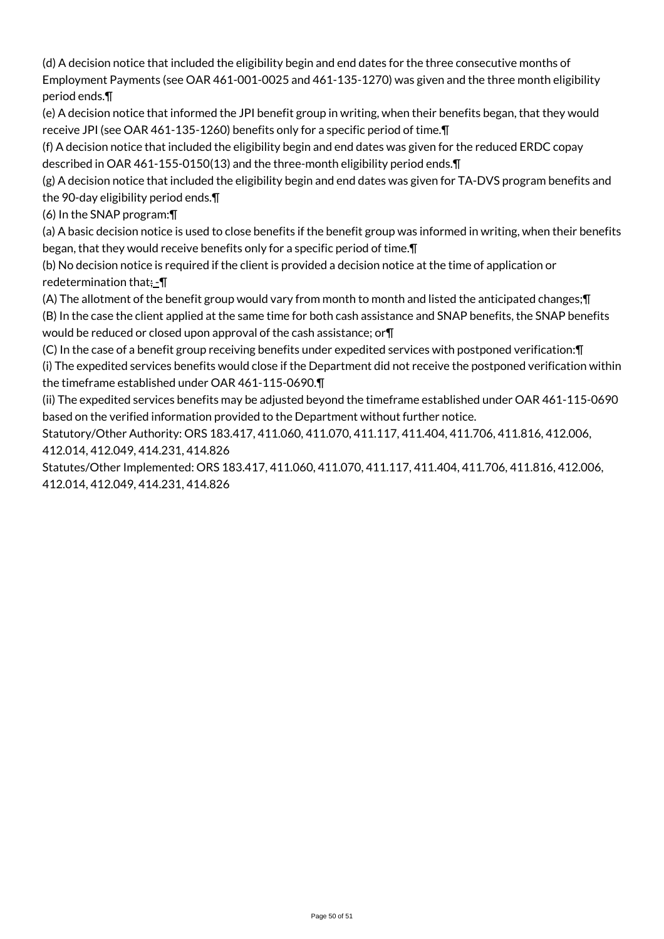(d) A decision notice that included the eligibility begin and end dates for the three consecutive months of Employment Payments (see OAR 461-001-0025 and 461-135-1270) was given and the three month eligibility period ends.¶

(e) A decision notice that informed the JPI benefit group in writing, when their benefits began, that they would receive JPI (see OAR 461-135-1260) benefits only for a specific period of time.¶

(f) A decision notice that included the eligibility begin and end dates was given for the reduced ERDC copay described in OAR 461-155-0150(13) and the three-month eligibility period ends.¶

(g) A decision notice that included the eligibility begin and end dates was given for TA-DVS program benefits and the 90-day eligibility period ends.¶

(6) In the SNAP program:¶

(a) A basic decision notice is used to close benefits if the benefit group was informed in writing, when their benefits began, that they would receive benefits only for a specific period of time.¶

(b) No decision notice is required if the client is provided a decision notice at the time of application or redetermination that $:= \P$ 

(A) The allotment of the benefit group would vary from month to month and listed the anticipated changes;¶ (B) In the case the client applied at the same time for both cash assistance and SNAP benefits, the SNAP benefits would be reduced or closed upon approval of the cash assistance; or¶

(C) In the case of a benefit group receiving benefits under expedited services with postponed verification:¶ (i) The expedited services benefits would close if the Department did not receive the postponed verification within the timeframe established under OAR 461-115-0690.¶

(ii) The expedited services benefits may be adjusted beyond the timeframe established under OAR 461-115-0690 based on the verified information provided to the Department without further notice.

Statutory/Other Authority: ORS 183.417, 411.060, 411.070, 411.117, 411.404, 411.706, 411.816, 412.006, 412.014, 412.049, 414.231, 414.826

Statutes/Other Implemented: ORS 183.417, 411.060, 411.070, 411.117, 411.404, 411.706, 411.816, 412.006, 412.014, 412.049, 414.231, 414.826